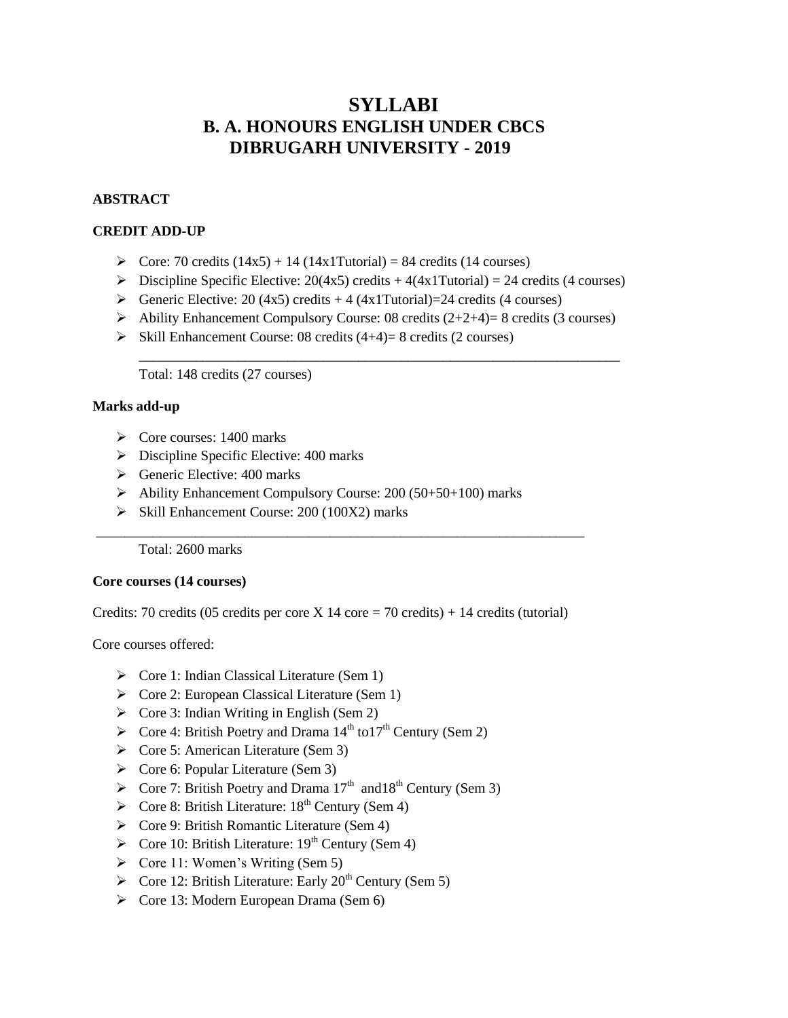## **SYLLABI B. A. HONOURS ENGLISH UNDER CBCS DIBRUGARH UNIVERSITY - 2019**

#### **ABSTRACT**

#### **CREDIT ADD-UP**

- $\geq$  Core: 70 credits (14x5) + 14 (14x1Tutorial) = 84 credits (14 courses)
- $\triangleright$  Discipline Specific Elective: 20(4x5) credits + 4(4x1Tutorial) = 24 credits (4 courses)
- Generic Elective: 20 (4x5) credits  $+ 4$  (4x1Tutorial)=24 credits (4 courses)
- $\triangleright$  Ability Enhancement Compulsory Course: 08 credits (2+2+4)= 8 credits (3 courses)

\_\_\_\_\_\_\_\_\_\_\_\_\_\_\_\_\_\_\_\_\_\_\_\_\_\_\_\_\_\_\_\_\_\_\_\_\_\_\_\_\_\_\_\_\_\_\_\_\_\_\_\_\_\_\_\_\_\_\_\_\_\_\_\_\_\_\_\_

 $\triangleright$  Skill Enhancement Course: 08 credits (4+4)= 8 credits (2 courses)

Total: 148 credits (27 courses)

#### **Marks add-up**

- $\triangleright$  Core courses: 1400 marks
- $\triangleright$  Discipline Specific Elective: 400 marks
- $\triangleright$  Generic Elective: 400 marks
- $\triangleright$  Ability Enhancement Compulsory Course: 200 (50+50+100) marks
- $\triangleright$  Skill Enhancement Course: 200 (100X2) marks

Total: 2600 marks

#### **Core courses (14 courses)**

Credits: 70 credits (05 credits per core X 14 core = 70 credits) + 14 credits (tutorial)

\_\_\_\_\_\_\_\_\_\_\_\_\_\_\_\_\_\_\_\_\_\_\_\_\_\_\_\_\_\_\_\_\_\_\_\_\_\_\_\_\_\_\_\_\_\_\_\_\_\_\_\_\_\_\_\_\_\_\_\_\_\_\_\_\_\_\_\_\_

Core courses offered:

- $\triangleright$  Core 1: Indian Classical Literature (Sem 1)
- $\triangleright$  Core 2: European Classical Literature (Sem 1)
- $\triangleright$  Core 3: Indian Writing in English (Sem 2)
- $\triangleright$  Core 4: British Poetry and Drama 14<sup>th</sup> to17<sup>th</sup> Century (Sem 2)
- $\triangleright$  Core 5: American Literature (Sem 3)
- $\triangleright$  Core 6: Popular Literature (Sem 3)
- $\triangleright$  Core 7: British Poetry and Drama 17<sup>th</sup> and 18<sup>th</sup> Century (Sem 3)
- $\triangleright$  Core 8: British Literature: 18<sup>th</sup> Century (Sem 4)
- $\triangleright$  Core 9: British Romantic Literature (Sem 4)
- $\triangleright$  Core 10: British Literature: 19<sup>th</sup> Century (Sem 4)
- $\triangleright$  Core 11: Women's Writing (Sem 5)
- $\triangleright$  Core 12: British Literature: Early 20<sup>th</sup> Century (Sem 5)
- $\triangleright$  Core 13: Modern European Drama (Sem 6)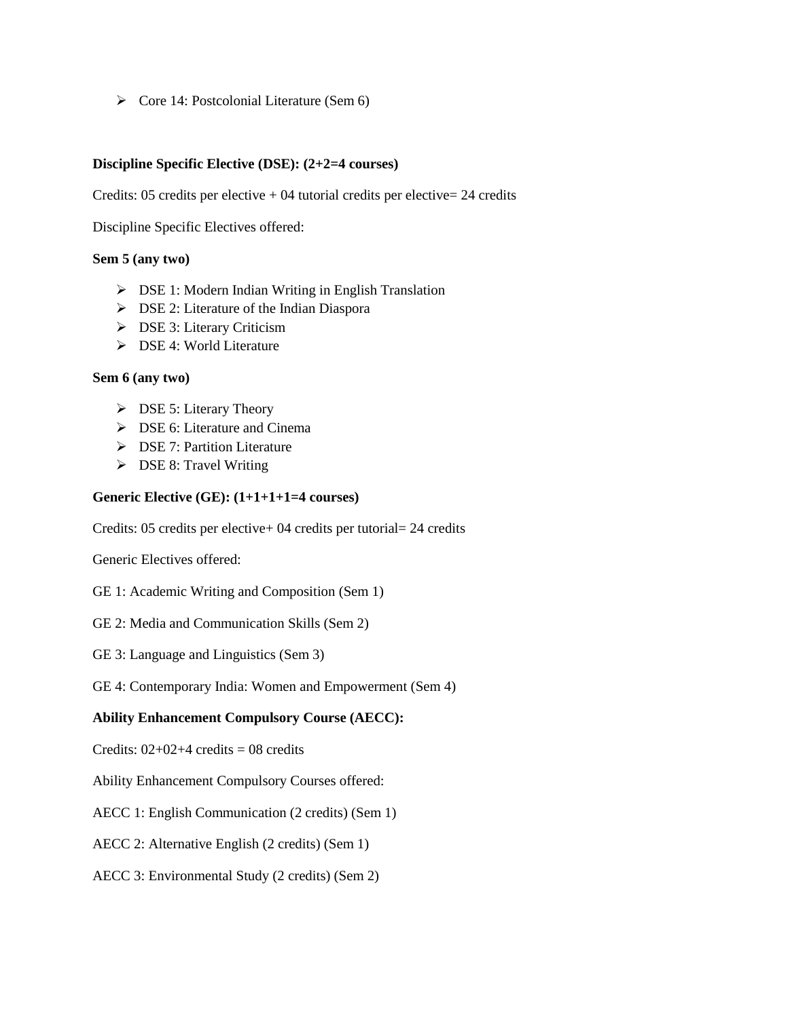$\triangleright$  Core 14: Postcolonial Literature (Sem 6)

#### **Discipline Specific Elective (DSE): (2+2=4 courses)**

Credits: 05 credits per elective  $+ 04$  tutorial credits per elective= 24 credits

Discipline Specific Electives offered:

#### **Sem 5 (any two)**

- DSE 1: Modern Indian Writing in English Translation
- **DSE 2: Literature of the Indian Diaspora**
- **DSE 3: Literary Criticism**
- **EXEL** 1: World Literature

#### **Sem 6 (any two)**

- $\triangleright$  DSE 5: Literary Theory
- **EXECT:** DSE 6: Literature and Cinema
- **DSE 7: Partition Literature**
- > DSE 8: Travel Writing

#### **Generic Elective (GE): (1+1+1+1=4 courses)**

Credits: 05 credits per elective+ 04 credits per tutorial= 24 credits

Generic Electives offered:

- GE 1: Academic Writing and Composition (Sem 1)
- GE 2: Media and Communication Skills (Sem 2)
- GE 3: Language and Linguistics (Sem 3)

GE 4: Contemporary India: Women and Empowerment (Sem 4)

#### **Ability Enhancement Compulsory Course (AECC):**

Credits:  $02+02+4$  credits = 08 credits

Ability Enhancement Compulsory Courses offered:

AECC 1: English Communication (2 credits) (Sem 1)

AECC 2: Alternative English (2 credits) (Sem 1)

AECC 3: Environmental Study (2 credits) (Sem 2)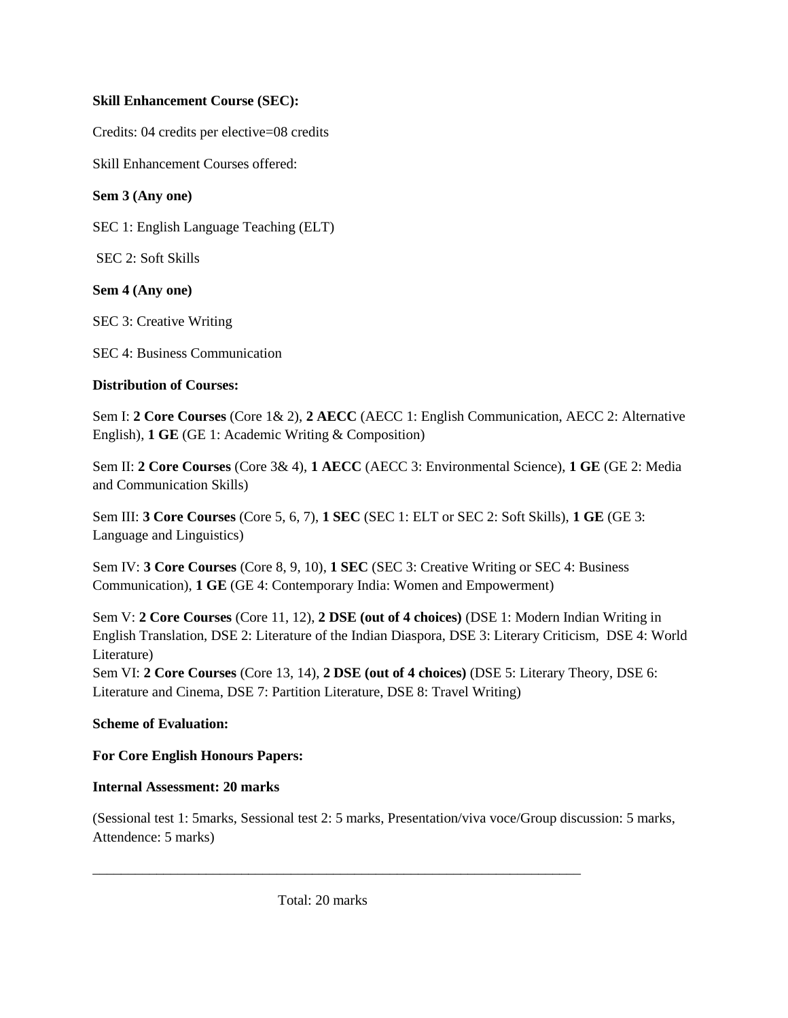## **Skill Enhancement Course (SEC):**

Credits: 04 credits per elective=08 credits

Skill Enhancement Courses offered:

## **Sem 3 (Any one)**

SEC 1: English Language Teaching (ELT)

SEC 2: Soft Skills

## **Sem 4 (Any one)**

SEC 3: Creative Writing

SEC 4: Business Communication

## **Distribution of Courses:**

Sem I: **2 Core Courses** (Core 1& 2), **2 AECC** (AECC 1: English Communication, AECC 2: Alternative English), **1 GE** (GE 1: Academic Writing & Composition)

Sem II: **2 Core Courses** (Core 3& 4), **1 AECC** (AECC 3: Environmental Science), **1 GE** (GE 2: Media and Communication Skills)

Sem III: **3 Core Courses** (Core 5, 6, 7), **1 SEC** (SEC 1: ELT or SEC 2: Soft Skills), **1 GE** (GE 3: Language and Linguistics)

Sem IV: **3 Core Courses** (Core 8, 9, 10), **1 SEC** (SEC 3: Creative Writing or SEC 4: Business Communication), **1 GE** (GE 4: Contemporary India: Women and Empowerment)

Sem V: **2 Core Courses** (Core 11, 12), **2 DSE (out of 4 choices)** (DSE 1: Modern Indian Writing in English Translation, DSE 2: Literature of the Indian Diaspora, DSE 3: Literary Criticism, DSE 4: World Literature)

Sem VI: **2 Core Courses** (Core 13, 14), **2 DSE (out of 4 choices)** (DSE 5: Literary Theory, DSE 6: Literature and Cinema, DSE 7: Partition Literature, DSE 8: Travel Writing)

## **Scheme of Evaluation:**

## **For Core English Honours Papers:**

## **Internal Assessment: 20 marks**

(Sessional test 1: 5marks, Sessional test 2: 5 marks, Presentation/viva voce/Group discussion: 5 marks, Attendence: 5 marks)

\_\_\_\_\_\_\_\_\_\_\_\_\_\_\_\_\_\_\_\_\_\_\_\_\_\_\_\_\_\_\_\_\_\_\_\_\_\_\_\_\_\_\_\_\_\_\_\_\_\_\_\_\_\_\_\_\_\_\_\_\_\_\_\_\_\_\_\_\_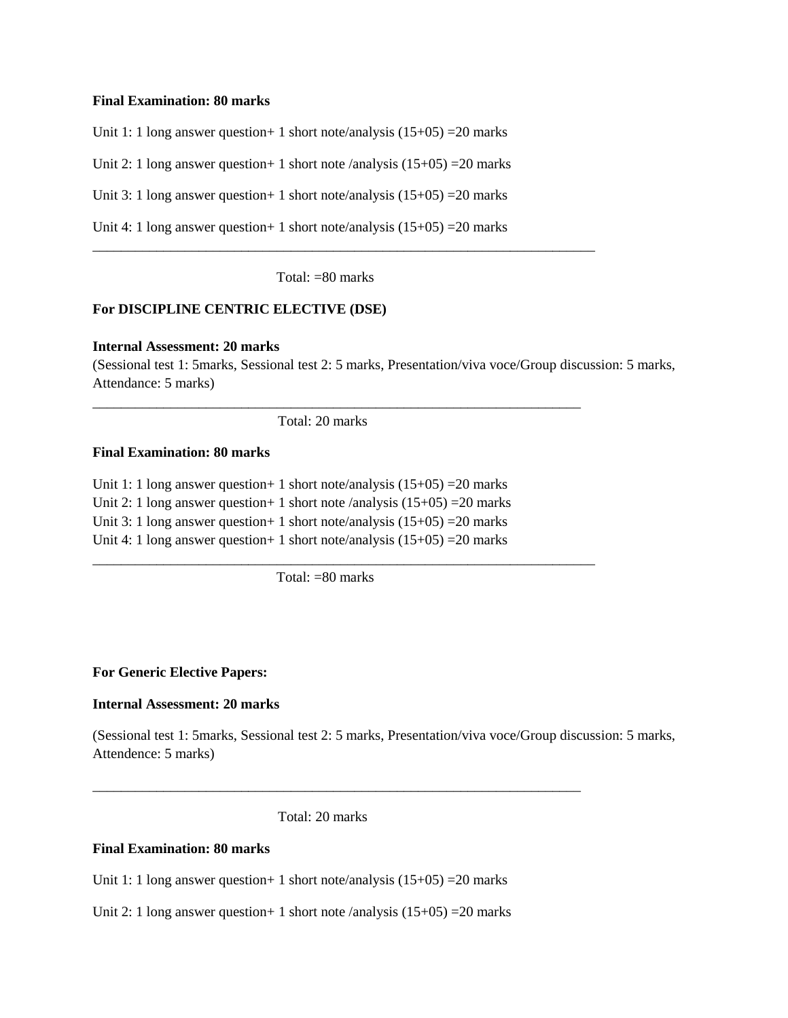#### **Final Examination: 80 marks**

Unit 1: 1 long answer question + 1 short note/analysis  $(15+05)$  = 20 marks

Unit 2: 1 long answer question + 1 short note /analysis  $(15+05)$  = 20 marks

Unit 3: 1 long answer question + 1 short note/analysis  $(15+05)$  = 20 marks

Unit 4: 1 long answer question + 1 short note/analysis  $(15+05)$  = 20 marks

Total:  $= 80$  marks

\_\_\_\_\_\_\_\_\_\_\_\_\_\_\_\_\_\_\_\_\_\_\_\_\_\_\_\_\_\_\_\_\_\_\_\_\_\_\_\_\_\_\_\_\_\_\_\_\_\_\_\_\_\_\_\_\_\_\_\_\_\_\_\_\_\_\_\_\_\_\_

#### **For DISCIPLINE CENTRIC ELECTIVE (DSE)**

#### **Internal Assessment: 20 marks**

(Sessional test 1: 5marks, Sessional test 2: 5 marks, Presentation/viva voce/Group discussion: 5 marks, Attendance: 5 marks)

Total: 20 marks

\_\_\_\_\_\_\_\_\_\_\_\_\_\_\_\_\_\_\_\_\_\_\_\_\_\_\_\_\_\_\_\_\_\_\_\_\_\_\_\_\_\_\_\_\_\_\_\_\_\_\_\_\_\_\_\_\_\_\_\_\_\_\_\_\_\_\_\_\_

#### **Final Examination: 80 marks**

Unit 1: 1 long answer question + 1 short note/analysis  $(15+05)$  = 20 marks Unit 2: 1 long answer question + 1 short note /analysis  $(15+05) = 20$  marks Unit 3: 1 long answer question + 1 short note/analysis  $(15+05)$  = 20 marks Unit 4: 1 long answer question + 1 short note/analysis  $(15+05)$  = 20 marks

Total:  $= 80$  marks

\_\_\_\_\_\_\_\_\_\_\_\_\_\_\_\_\_\_\_\_\_\_\_\_\_\_\_\_\_\_\_\_\_\_\_\_\_\_\_\_\_\_\_\_\_\_\_\_\_\_\_\_\_\_\_\_\_\_\_\_\_\_\_\_\_\_\_\_\_\_\_

#### **For Generic Elective Papers:**

#### **Internal Assessment: 20 marks**

(Sessional test 1: 5marks, Sessional test 2: 5 marks, Presentation/viva voce/Group discussion: 5 marks, Attendence: 5 marks)

Total: 20 marks

\_\_\_\_\_\_\_\_\_\_\_\_\_\_\_\_\_\_\_\_\_\_\_\_\_\_\_\_\_\_\_\_\_\_\_\_\_\_\_\_\_\_\_\_\_\_\_\_\_\_\_\_\_\_\_\_\_\_\_\_\_\_\_\_\_\_\_\_\_

#### **Final Examination: 80 marks**

Unit 1: 1 long answer question + 1 short note/analysis  $(15+05)$  = 20 marks

Unit 2: 1 long answer question + 1 short note /analysis  $(15+05) = 20$  marks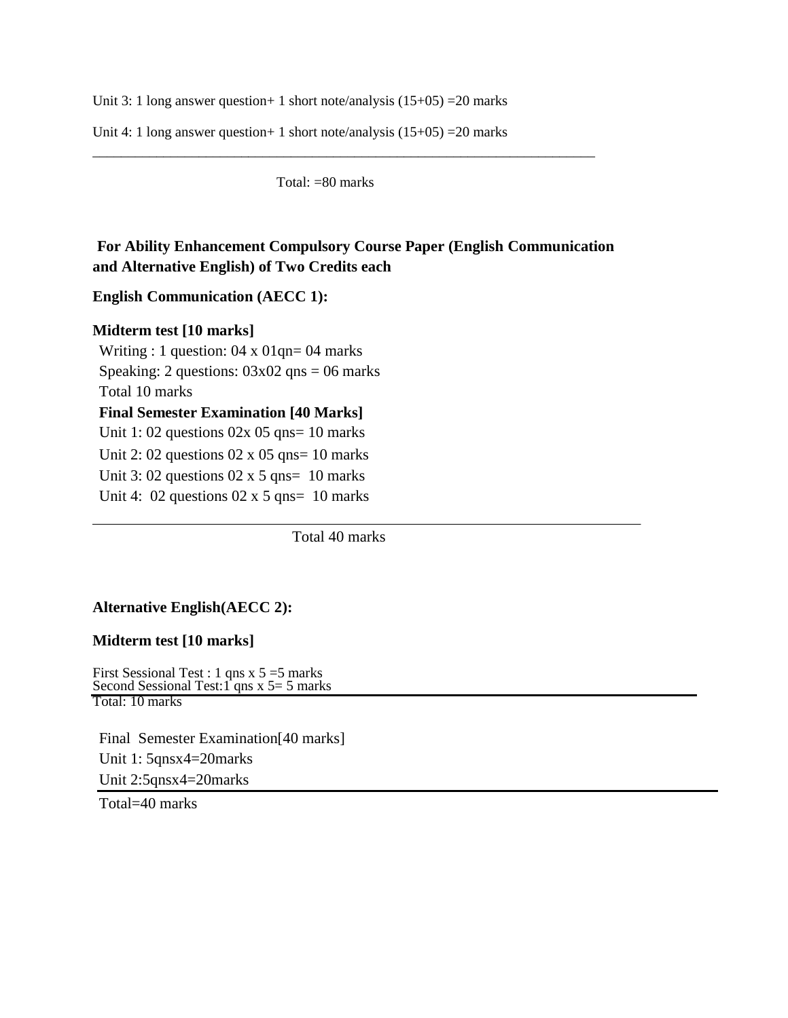Unit 3: 1 long answer question + 1 short note/analysis  $(15+05)$  = 20 marks

Unit 4: 1 long answer question + 1 short note/analysis  $(15+05)$  = 20 marks

Total: =80 marks

\_\_\_\_\_\_\_\_\_\_\_\_\_\_\_\_\_\_\_\_\_\_\_\_\_\_\_\_\_\_\_\_\_\_\_\_\_\_\_\_\_\_\_\_\_\_\_\_\_\_\_\_\_\_\_\_\_\_\_\_\_\_\_\_\_\_\_\_\_\_\_

## **For Ability Enhancement Compulsory Course Paper (English Communication and Alternative English) of Two Credits each**

#### **English Communication (AECC 1):**

#### **Midterm test [10 marks]**

Writing : 1 question: 04 x 01qn= 04 marks Speaking: 2 questions:  $03x02$  qns = 06 marks Total 10 marks **Final Semester Examination [40 Marks]** Unit 1: 02 questions  $02x$  05 qns= 10 marks Unit 2: 02 questions  $02 \times 05$  qns= 10 marks Unit 3: 02 questions  $02 \times 5$  qns= 10 marks Unit 4:  $02$  questions  $02 \times 5$  qns=  $10$  marks

Total 40 marks

## **Alternative English(AECC 2):**

#### **Midterm test [10 marks]**

First Sessional Test : 1 qns x 5 =5 marks Second Sessional Test: 1<sup>2</sup> qns x 5 = 5 marks Total: 10 marks

Final Semester Examination[40 marks] Unit 1: 5qnsx4=20marks Unit 2:5qnsx4=20marks

Total=40 marks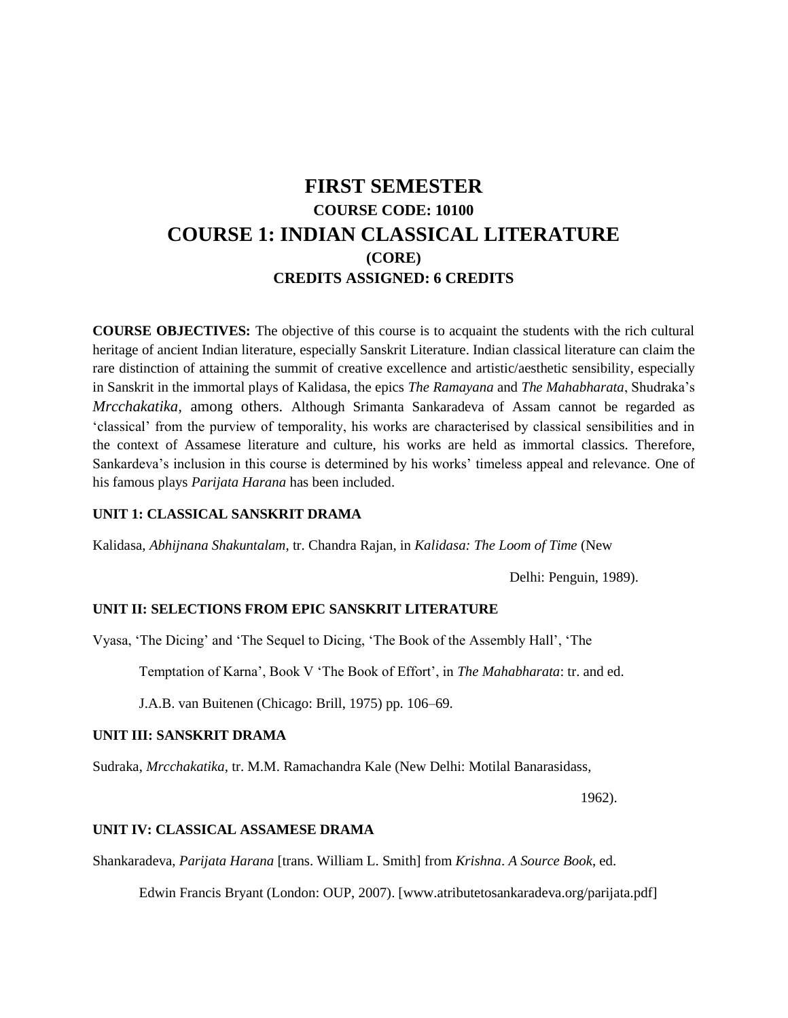## **FIRST SEMESTER COURSE CODE: 10100 COURSE 1: INDIAN CLASSICAL LITERATURE (CORE) CREDITS ASSIGNED: 6 CREDITS**

**COURSE OBJECTIVES:** The objective of this course is to acquaint the students with the rich cultural heritage of ancient Indian literature, especially Sanskrit Literature. Indian classical literature can claim the rare distinction of attaining the summit of creative excellence and artistic/aesthetic sensibility, especially in Sanskrit in the immortal plays of Kalidasa, the epics *The Ramayana* and *The Mahabharata*, Shudraka's *Mrcchakatika,* among others. Although Srimanta Sankaradeva of Assam cannot be regarded as 'classical' from the purview of temporality, his works are characterised by classical sensibilities and in the context of Assamese literature and culture, his works are held as immortal classics. Therefore, Sankardeva's inclusion in this course is determined by his works' timeless appeal and relevance. One of his famous plays *Parijata Harana* has been included.

#### **UNIT 1: CLASSICAL SANSKRIT DRAMA**

Kalidasa, *Abhijnana Shakuntalam*, tr. Chandra Rajan, in *Kalidasa: The Loom of Time* (New

Delhi: Penguin, 1989).

#### **UNIT II: SELECTIONS FROM EPIC SANSKRIT LITERATURE**

Vyasa, 'The Dicing' and 'The Sequel to Dicing, 'The Book of the Assembly Hall', 'The

Temptation of Karna', Book V 'The Book of Effort', in *The Mahabharata*: tr. and ed.

J.A.B. van Buitenen (Chicago: Brill, 1975) pp. 106–69.

#### **UNIT III: SANSKRIT DRAMA**

Sudraka, *Mrcchakatika*, tr. M.M. Ramachandra Kale (New Delhi: Motilal Banarasidass,

1962).

#### **UNIT IV: CLASSICAL ASSAMESE DRAMA**

Shankaradeva, *Parijata Harana* [trans. William L. Smith] from *Krishna*. *A Source Book*, ed.

Edwin Francis Bryant (London: OUP, 2007). [www.atributetosankaradeva.org/parijata.pdf]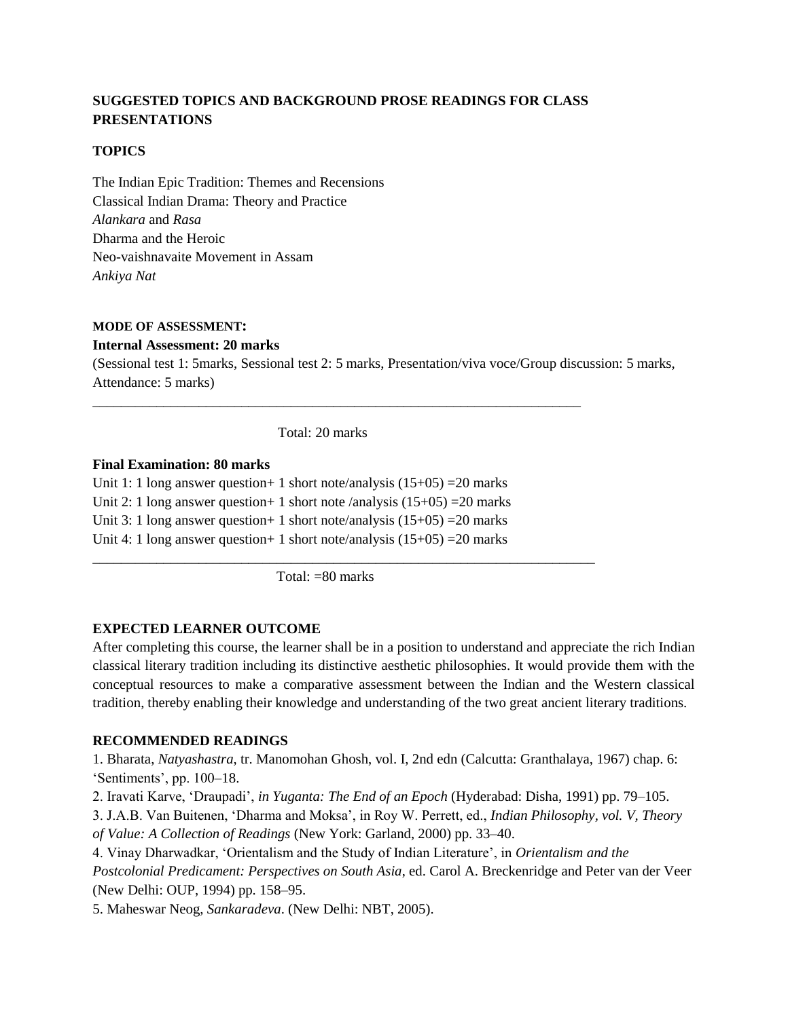## **SUGGESTED TOPICS AND BACKGROUND PROSE READINGS FOR CLASS PRESENTATIONS**

#### **TOPICS**

The Indian Epic Tradition: Themes and Recensions Classical Indian Drama: Theory and Practice *Alankara* and *Rasa*  Dharma and the Heroic Neo-vaishnavaite Movement in Assam *Ankiya Nat*

#### **MODE OF ASSESSMENT:**

#### **Internal Assessment: 20 marks**

(Sessional test 1: 5marks, Sessional test 2: 5 marks, Presentation/viva voce/Group discussion: 5 marks, Attendance: 5 marks)

Total: 20 marks

\_\_\_\_\_\_\_\_\_\_\_\_\_\_\_\_\_\_\_\_\_\_\_\_\_\_\_\_\_\_\_\_\_\_\_\_\_\_\_\_\_\_\_\_\_\_\_\_\_\_\_\_\_\_\_\_\_\_\_\_\_\_\_\_\_\_\_\_\_

#### **Final Examination: 80 marks**

Unit 1: 1 long answer question + 1 short note/analysis  $(15+05) = 20$  marks Unit 2: 1 long answer question + 1 short note /analysis  $(15+05)$  = 20 marks Unit 3: 1 long answer question + 1 short note/analysis  $(15+05) = 20$  marks Unit 4: 1 long answer question + 1 short note/analysis  $(15+05) = 20$  marks

Total: =80 marks

\_\_\_\_\_\_\_\_\_\_\_\_\_\_\_\_\_\_\_\_\_\_\_\_\_\_\_\_\_\_\_\_\_\_\_\_\_\_\_\_\_\_\_\_\_\_\_\_\_\_\_\_\_\_\_\_\_\_\_\_\_\_\_\_\_\_\_\_\_\_\_

#### **EXPECTED LEARNER OUTCOME**

After completing this course, the learner shall be in a position to understand and appreciate the rich Indian classical literary tradition including its distinctive aesthetic philosophies. It would provide them with the conceptual resources to make a comparative assessment between the Indian and the Western classical tradition, thereby enabling their knowledge and understanding of the two great ancient literary traditions.

#### **RECOMMENDED READINGS**

1. Bharata, *Natyashastra*, tr. Manomohan Ghosh, vol. I, 2nd edn (Calcutta: Granthalaya, 1967) chap. 6: 'Sentiments', pp. 100–18.

2. Iravati Karve, 'Draupadi', *in Yuganta: The End of an Epoch* (Hyderabad: Disha, 1991) pp. 79–105.

3. J.A.B. Van Buitenen, 'Dharma and Moksa', in Roy W. Perrett, ed., *Indian Philosophy, vol. V, Theory of Value: A Collection of Readings* (New York: Garland, 2000) pp. 33–40.

4. Vinay Dharwadkar, 'Orientalism and the Study of Indian Literature', in *Orientalism and the Postcolonial Predicament: Perspectives on South Asia*, ed. Carol A. Breckenridge and Peter van der Veer (New Delhi: OUP, 1994) pp. 158–95.

5. Maheswar Neog, *Sankaradeva*. (New Delhi: NBT, 2005).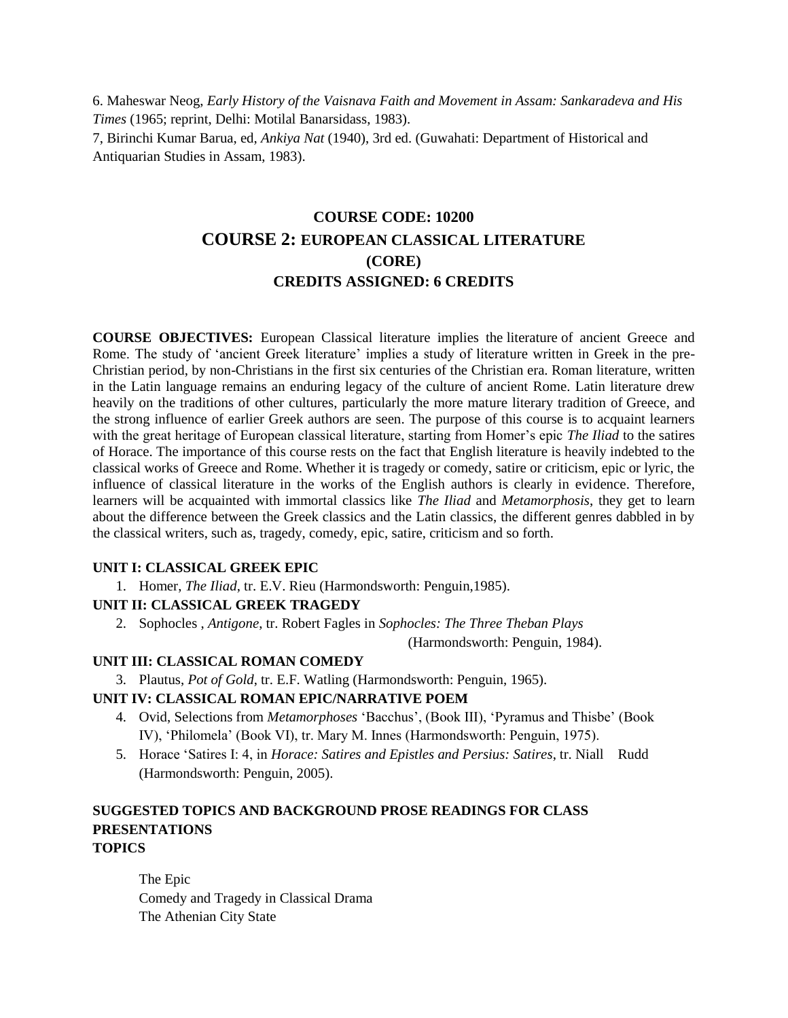6. Maheswar Neog, *Early History of the Vaisnava Faith and Movement in Assam: Sankaradeva and His Times* (1965; reprint, Delhi: Motilal Banarsidass, 1983).

7, Birinchi Kumar Barua, ed, *Ankiya Nat* (1940), 3rd ed. (Guwahati: Department of Historical and Antiquarian Studies in Assam, 1983).

## **COURSE CODE: 10200 COURSE 2: EUROPEAN CLASSICAL LITERATURE (CORE) CREDITS ASSIGNED: 6 CREDITS**

**COURSE OBJECTIVES:** European Classical literature implies the literature of ancient Greece and Rome. The study of 'ancient Greek literature' implies a study of literature written in Greek in the pre-Christian period, by non-Christians in the first six centuries of the Christian era. Roman literature, written in the Latin language remains an enduring legacy of the culture of ancient Rome. Latin literature drew heavily on the traditions of other cultures, particularly the more mature literary tradition of Greece, and the strong influence of earlier Greek authors are seen. The purpose of this course is to acquaint learners with the great heritage of European classical literature, starting from Homer's epic *The Iliad* to the satires of Horace. The importance of this course rests on the fact that English literature is heavily indebted to the classical works of Greece and Rome. Whether it is tragedy or comedy, satire or criticism, epic or lyric, the influence of classical literature in the works of the English authors is clearly in evidence. Therefore, learners will be acquainted with immortal classics like *The Iliad* and *Metamorphosis*, they get to learn about the difference between the Greek classics and the Latin classics, the different genres dabbled in by the classical writers, such as, tragedy, comedy, epic, satire, criticism and so forth.

#### **UNIT I: CLASSICAL GREEK EPIC**

1. Homer, *The Iliad*, tr. E.V. Rieu (Harmondsworth: Penguin,1985).

#### **UNIT II: CLASSICAL GREEK TRAGEDY**

2. Sophocles , *Antigone*, tr. Robert Fagles in *Sophocles: The Three Theban Plays*

(Harmondsworth: Penguin, 1984).

#### **UNIT III: CLASSICAL ROMAN COMEDY**

3. Plautus, *Pot of Gold*, tr. E.F. Watling (Harmondsworth: Penguin, 1965).

## **UNIT IV: CLASSICAL ROMAN EPIC/NARRATIVE POEM**

- 4. Ovid, Selections from *Metamorphoses* 'Bacchus', (Book III), 'Pyramus and Thisbe' (Book IV), 'Philomela' (Book VI), tr. Mary M. Innes (Harmondsworth: Penguin, 1975).
- 5. Horace 'Satires I: 4, in *Horace: Satires and Epistles and Persius: Satires*, tr. Niall Rudd (Harmondsworth: Penguin, 2005).

### **SUGGESTED TOPICS AND BACKGROUND PROSE READINGS FOR CLASS PRESENTATIONS TOPICS**

The Epic Comedy and Tragedy in Classical Drama The Athenian City State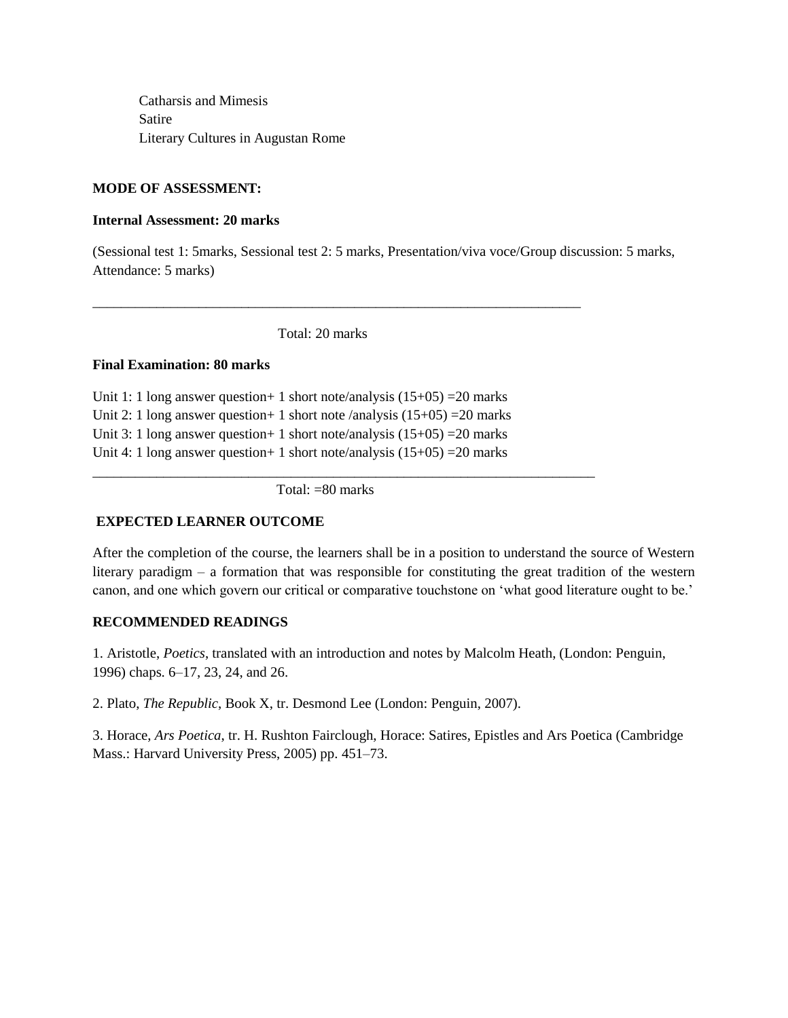Catharsis and Mimesis Satire Literary Cultures in Augustan Rome

#### **MODE OF ASSESSMENT:**

#### **Internal Assessment: 20 marks**

(Sessional test 1: 5marks, Sessional test 2: 5 marks, Presentation/viva voce/Group discussion: 5 marks, Attendance: 5 marks)

Total: 20 marks

\_\_\_\_\_\_\_\_\_\_\_\_\_\_\_\_\_\_\_\_\_\_\_\_\_\_\_\_\_\_\_\_\_\_\_\_\_\_\_\_\_\_\_\_\_\_\_\_\_\_\_\_\_\_\_\_\_\_\_\_\_\_\_\_\_\_\_\_\_

#### **Final Examination: 80 marks**

Unit 1: 1 long answer question + 1 short note/analysis  $(15+05)$  = 20 marks Unit 2: 1 long answer question + 1 short note /analysis  $(15+05)$  = 20 marks Unit 3: 1 long answer question + 1 short note/analysis  $(15+05)$  = 20 marks Unit 4: 1 long answer question + 1 short note/analysis  $(15+05)$  = 20 marks

Total: =80 marks

\_\_\_\_\_\_\_\_\_\_\_\_\_\_\_\_\_\_\_\_\_\_\_\_\_\_\_\_\_\_\_\_\_\_\_\_\_\_\_\_\_\_\_\_\_\_\_\_\_\_\_\_\_\_\_\_\_\_\_\_\_\_\_\_\_\_\_\_\_\_\_

#### **EXPECTED LEARNER OUTCOME**

After the completion of the course, the learners shall be in a position to understand the source of Western literary paradigm – a formation that was responsible for constituting the great tradition of the western canon, and one which govern our critical or comparative touchstone on 'what good literature ought to be.'

#### **RECOMMENDED READINGS**

1. Aristotle, *Poetics*, translated with an introduction and notes by Malcolm Heath, (London: Penguin, 1996) chaps. 6–17, 23, 24, and 26.

2. Plato, *The Republic*, Book X, tr. Desmond Lee (London: Penguin, 2007).

3. Horace, *Ars Poetica*, tr. H. Rushton Fairclough, Horace: Satires, Epistles and Ars Poetica (Cambridge Mass.: Harvard University Press, 2005) pp. 451–73.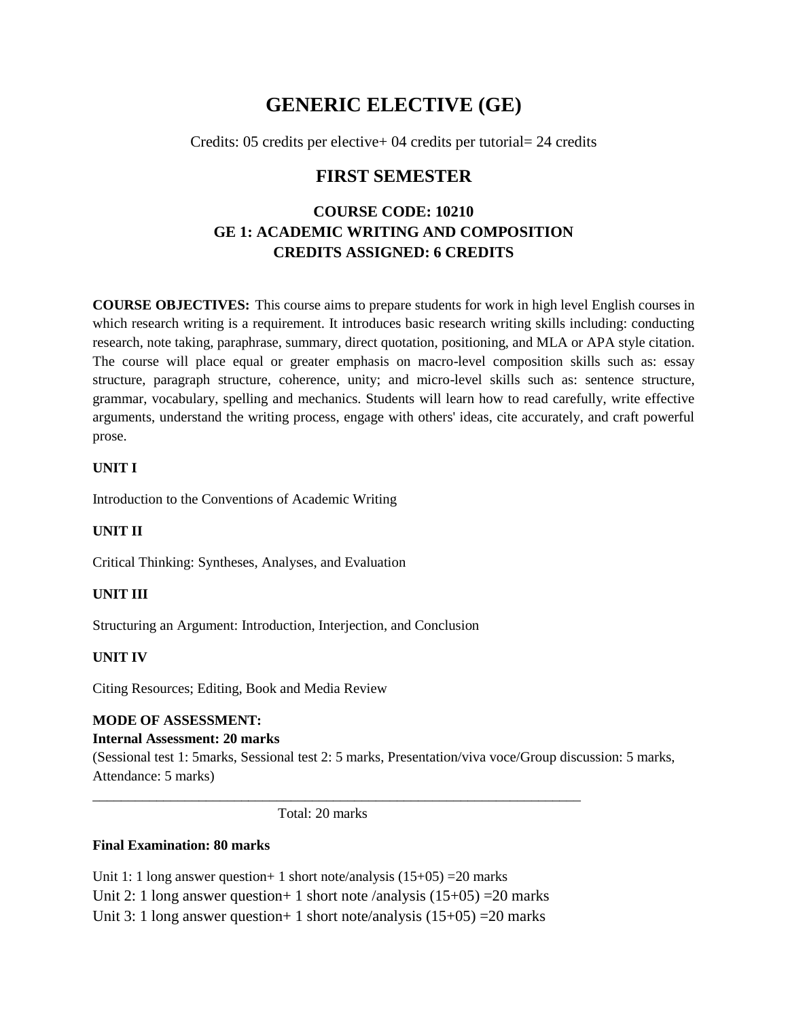## **GENERIC ELECTIVE (GE)**

Credits: 05 credits per elective+ 04 credits per tutorial= 24 credits

## **FIRST SEMESTER**

## **COURSE CODE: 10210 GE 1: ACADEMIC WRITING AND COMPOSITION CREDITS ASSIGNED: 6 CREDITS**

**COURSE OBJECTIVES:** This course aims to prepare students for work in high level English courses in which research writing is a requirement. It introduces basic research writing skills including: conducting research, note taking, paraphrase, summary, direct quotation, positioning, and MLA or APA style citation. The course will place equal or greater emphasis on macro-level composition skills such as: essay structure, paragraph structure, coherence, unity; and micro-level skills such as: sentence structure, grammar, vocabulary, spelling and mechanics. Students will learn how to read carefully, write effective arguments, understand the writing process, engage with others' ideas, cite accurately, and craft powerful prose.

## **UNIT I**

Introduction to the Conventions of Academic Writing

## **UNIT II**

Critical Thinking: Syntheses, Analyses, and Evaluation

## **UNIT III**

Structuring an Argument: Introduction, Interjection, and Conclusion

#### **UNIT IV**

Citing Resources; Editing, Book and Media Review

## **MODE OF ASSESSMENT:**

## **Internal Assessment: 20 marks**

(Sessional test 1: 5marks, Sessional test 2: 5 marks, Presentation/viva voce/Group discussion: 5 marks, Attendance: 5 marks)

Total: 20 marks

\_\_\_\_\_\_\_\_\_\_\_\_\_\_\_\_\_\_\_\_\_\_\_\_\_\_\_\_\_\_\_\_\_\_\_\_\_\_\_\_\_\_\_\_\_\_\_\_\_\_\_\_\_\_\_\_\_\_\_\_\_\_\_\_\_\_\_\_\_

#### **Final Examination: 80 marks**

Unit 1: 1 long answer question + 1 short note/analysis  $(15+05)$  = 20 marks Unit 2: 1 long answer question + 1 short note /analysis  $(15+05) = 20$  marks Unit 3: 1 long answer question + 1 short note/analysis  $(15+05) = 20$  marks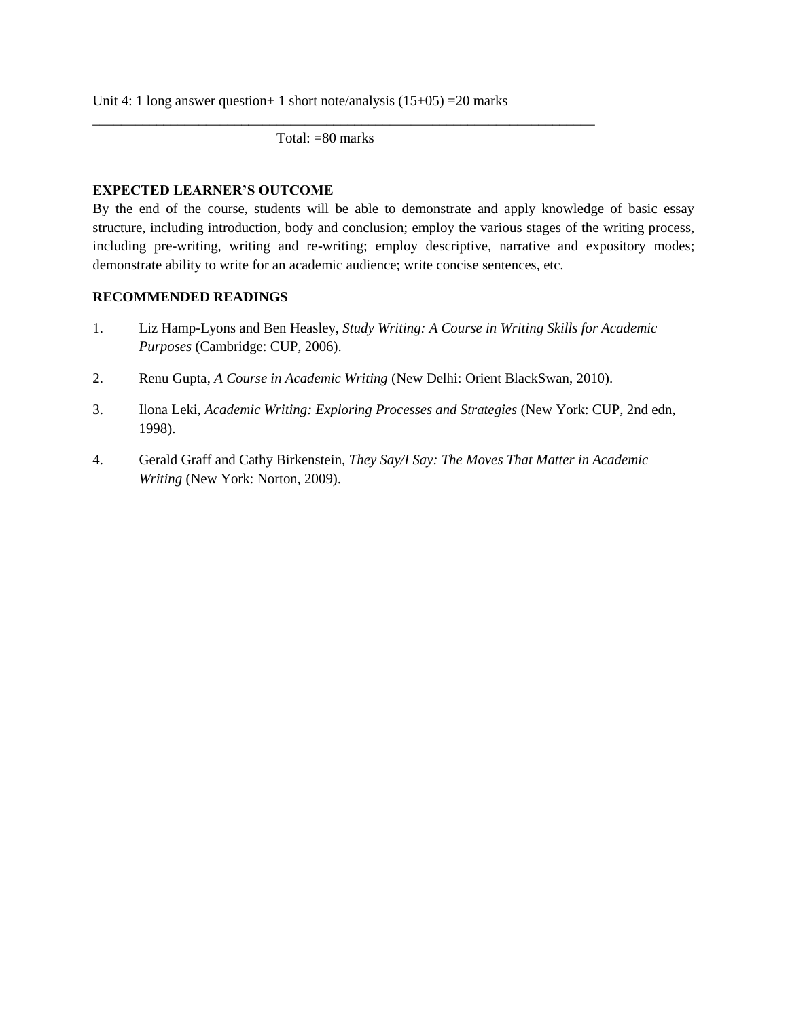Unit 4: 1 long answer question + 1 short note/analysis  $(15+05) = 20$  marks

Total: =80 marks

\_\_\_\_\_\_\_\_\_\_\_\_\_\_\_\_\_\_\_\_\_\_\_\_\_\_\_\_\_\_\_\_\_\_\_\_\_\_\_\_\_\_\_\_\_\_\_\_\_\_\_\_\_\_\_\_\_\_\_\_\_\_\_\_\_\_\_\_\_\_\_

#### **EXPECTED LEARNER'S OUTCOME**

By the end of the course, students will be able to demonstrate and apply knowledge of basic essay structure, including introduction, body and conclusion; employ the various stages of the writing process, including pre-writing, writing and re-writing; employ descriptive, narrative and expository modes; demonstrate ability to write for an academic audience; write concise sentences, etc.

### **RECOMMENDED READINGS**

- 1. Liz Hamp-Lyons and Ben Heasley, *Study Writing: A Course in Writing Skills for Academic Purposes* (Cambridge: CUP, 2006).
- 2. Renu Gupta, *A Course in Academic Writing* (New Delhi: Orient BlackSwan, 2010).
- 3. Ilona Leki, *Academic Writing: Exploring Processes and Strategies* (New York: CUP, 2nd edn, 1998).
- 4. Gerald Graff and Cathy Birkenstein, *They Say/I Say: The Moves That Matter in Academic Writing* (New York: Norton, 2009).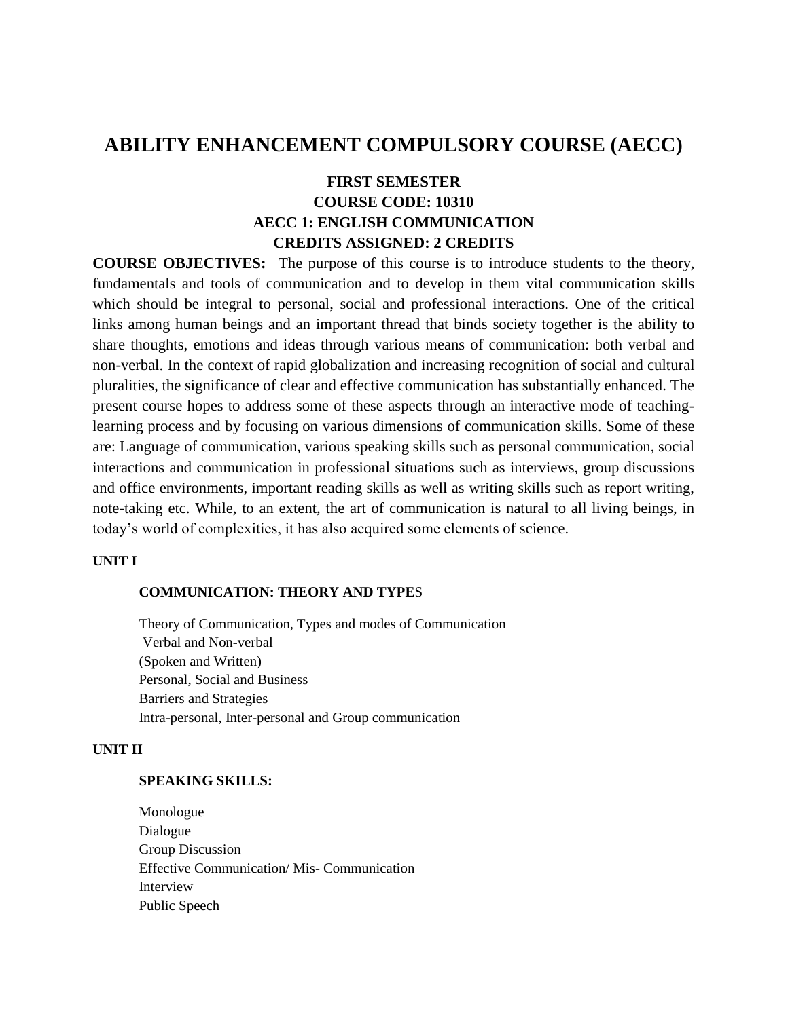## **ABILITY ENHANCEMENT COMPULSORY COURSE (AECC)**

## **FIRST SEMESTER COURSE CODE: 10310 AECC 1: ENGLISH COMMUNICATION CREDITS ASSIGNED: 2 CREDITS**

**COURSE OBJECTIVES:** The purpose of this course is to introduce students to the theory, fundamentals and tools of communication and to develop in them vital communication skills which should be integral to personal, social and professional interactions. One of the critical links among human beings and an important thread that binds society together is the ability to share thoughts, emotions and ideas through various means of communication: both verbal and non-verbal. In the context of rapid globalization and increasing recognition of social and cultural pluralities, the significance of clear and effective communication has substantially enhanced. The present course hopes to address some of these aspects through an interactive mode of teachinglearning process and by focusing on various dimensions of communication skills. Some of these are: Language of communication, various speaking skills such as personal communication, social interactions and communication in professional situations such as interviews, group discussions and office environments, important reading skills as well as writing skills such as report writing, note-taking etc. While, to an extent, the art of communication is natural to all living beings, in today's world of complexities, it has also acquired some elements of science.

#### **UNIT I**

#### **COMMUNICATION: THEORY AND TYPE**S

Theory of Communication, Types and modes of Communication Verbal and Non-verbal (Spoken and Written) Personal, Social and Business Barriers and Strategies Intra-personal, Inter-personal and Group communication

#### **UNIT II**

#### **SPEAKING SKILLS:**

Monologue Dialogue Group Discussion Effective Communication/ Mis- Communication Interview Public Speech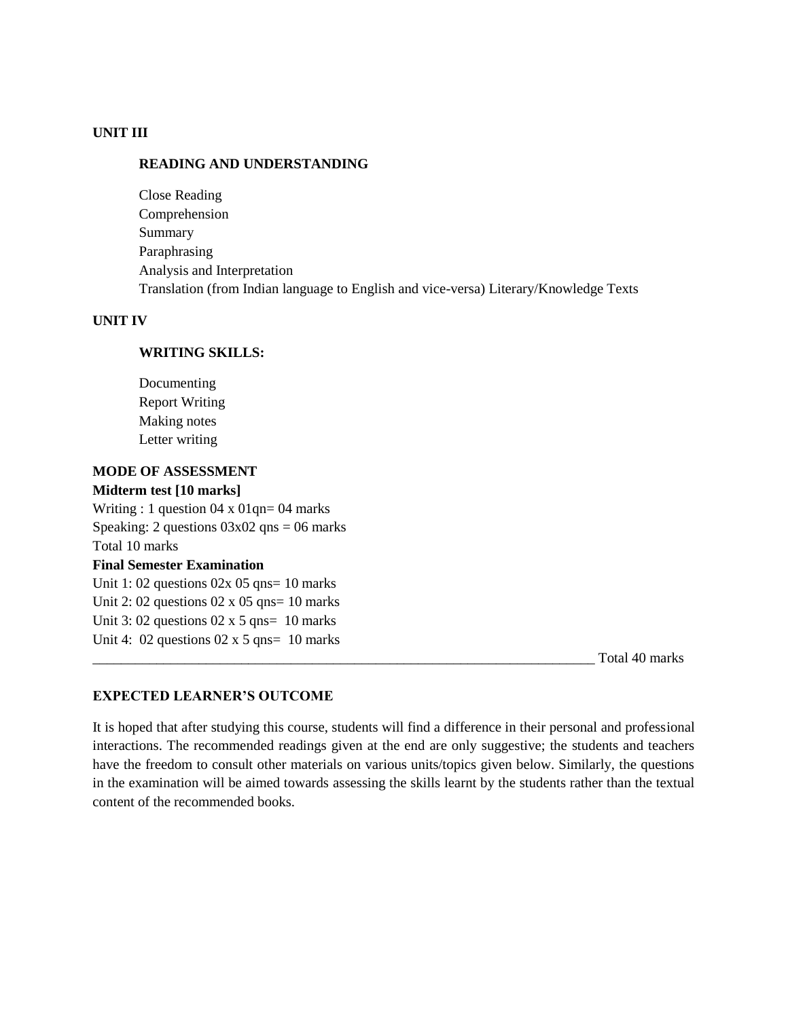#### **UNIT III**

#### **READING AND UNDERSTANDING**

Close Reading Comprehension Summary Paraphrasing Analysis and Interpretation Translation (from Indian language to English and vice-versa) Literary/Knowledge Texts

#### **UNIT IV**

#### **WRITING SKILLS:**

Documenting Report Writing Making notes Letter writing

#### **MODE OF ASSESSMENT**

#### **Midterm test [10 marks]**

Writing : 1 question 04 x 01qn= 04 marks Speaking: 2 questions  $03x02$  qns = 06 marks Total 10 marks **Final Semester Examination** 

Unit 1: 02 questions  $02x$  05 qns= 10 marks Unit 2: 02 questions  $02 \times 05$  qns= 10 marks Unit 3: 02 questions  $02 \times 5$  qns= 10 marks Unit 4:  $02$  questions  $02 \times 5$  qns=  $10$  marks

\_\_\_\_\_\_\_\_\_\_\_\_\_\_\_\_\_\_\_\_\_\_\_\_\_\_\_\_\_\_\_\_\_\_\_\_\_\_\_\_\_\_\_\_\_\_\_\_\_\_\_\_\_\_\_\_\_\_\_\_\_\_\_\_\_\_\_\_\_\_\_ Total 40 marks

#### **EXPECTED LEARNER'S OUTCOME**

It is hoped that after studying this course, students will find a difference in their personal and professional interactions. The recommended readings given at the end are only suggestive; the students and teachers have the freedom to consult other materials on various units/topics given below. Similarly, the questions in the examination will be aimed towards assessing the skills learnt by the students rather than the textual content of the recommended books.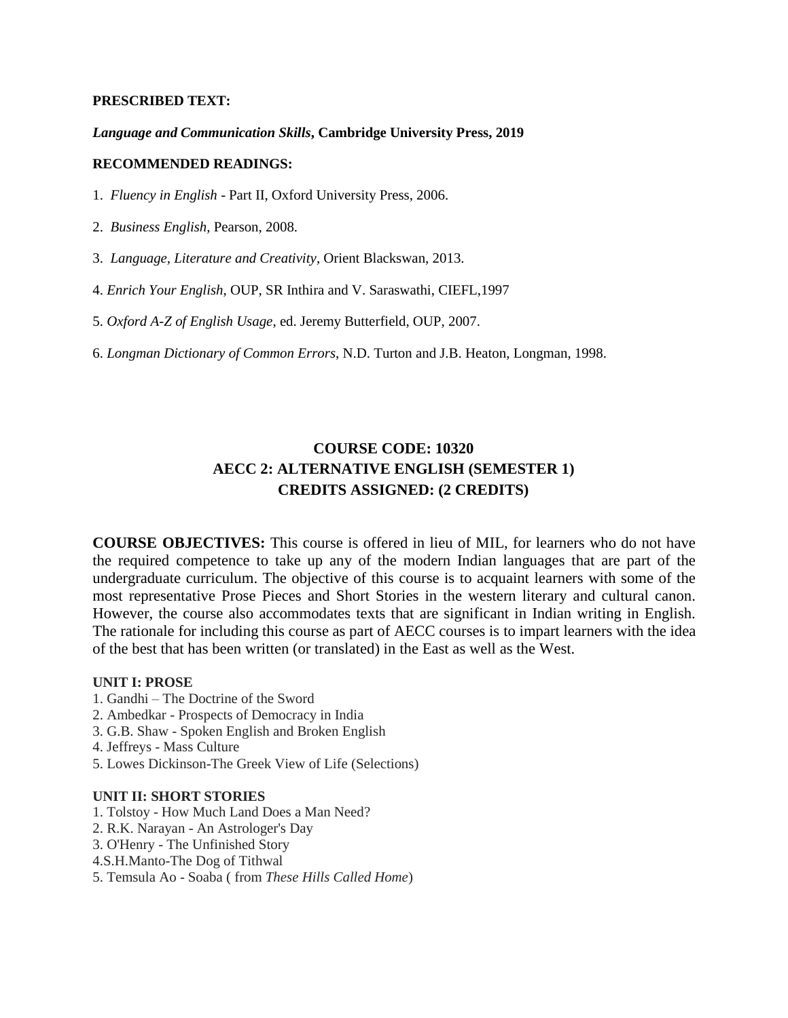#### **PRESCRIBED TEXT:**

#### *Language and Communication Skills***, Cambridge University Press, 2019**

#### **RECOMMENDED READINGS:**

- 1. *Fluency in English* Part II, Oxford University Press, 2006.
- 2. *Business English*, Pearson, 2008.
- 3. *Language, Literature and Creativity*, Orient Blackswan, 2013.
- 4. *Enrich Your English*, OUP, SR Inthira and V. Saraswathi, CIEFL,1997
- 5. *Oxford A-Z of English Usage*, ed. Jeremy Butterfield, OUP, 2007.
- 6. *Longman Dictionary of Common Errors*, N.D. Turton and J.B. Heaton, Longman, 1998.

## **COURSE CODE: 10320 AECC 2: ALTERNATIVE ENGLISH (SEMESTER 1) CREDITS ASSIGNED: (2 CREDITS)**

**COURSE OBJECTIVES:** This course is offered in lieu of MIL, for learners who do not have the required competence to take up any of the modern Indian languages that are part of the undergraduate curriculum. The objective of this course is to acquaint learners with some of the most representative Prose Pieces and Short Stories in the western literary and cultural canon. However, the course also accommodates texts that are significant in Indian writing in English. The rationale for including this course as part of AECC courses is to impart learners with the idea of the best that has been written (or translated) in the East as well as the West.

#### **UNIT I: PROSE**

- 1. Gandhi The Doctrine of the Sword
- 2. Ambedkar Prospects of Democracy in India
- 3. G.B. Shaw Spoken English and Broken English
- 4. Jeffreys Mass Culture
- 5. Lowes Dickinson-The Greek View of Life (Selections)

#### **UNIT II: SHORT STORIES**

- 1. Tolstoy How Much Land Does a Man Need?
- 2. R.K. Narayan An Astrologer's Day
- 3. O'Henry The Unfinished Story
- 4.S.H.Manto-The Dog of Tithwal
- 5. Temsula Ao Soaba ( from *These Hills Called Home*)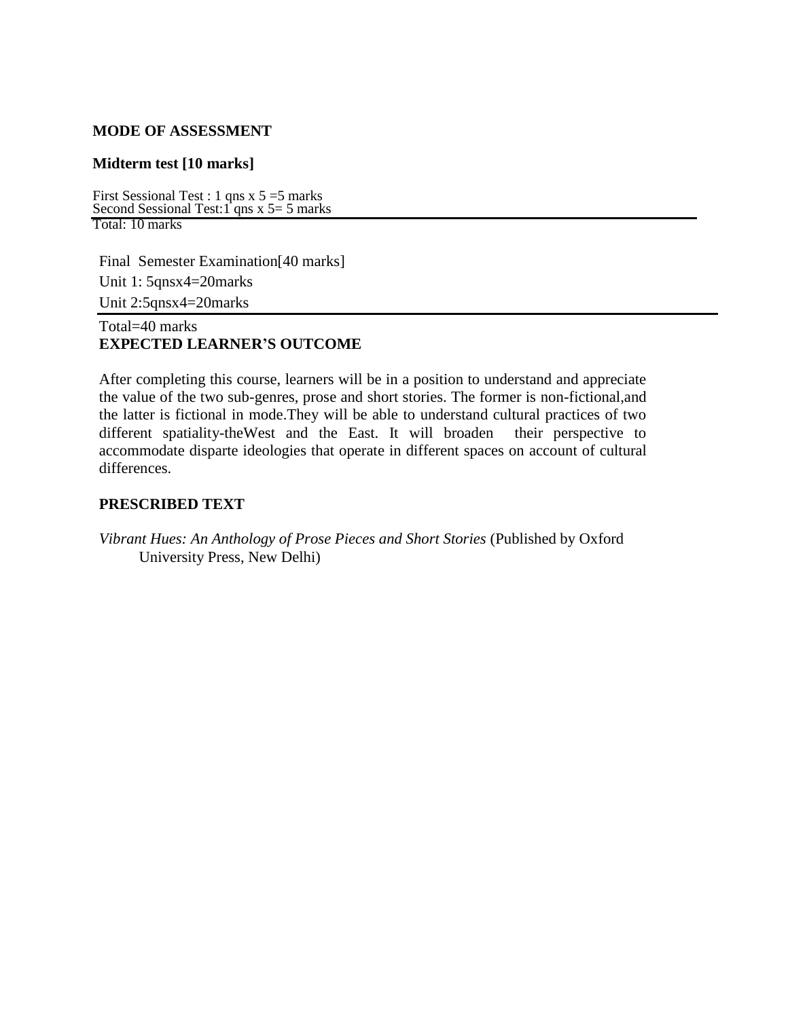### **MODE OF ASSESSMENT**

## **Midterm test [10 marks]**

First Sessional Test : 1 qns  $x$  5 = 5 marks Second Sessional Test: 1<sup>'</sup> qns x 5 = 5 marks Total: 10 marks

Final Semester Examination[40 marks] Unit 1: 5qnsx4=20marks Unit 2:5qnsx4=20marks

## Total=40 marks **EXPECTED LEARNER'S OUTCOME**

After completing this course, learners will be in a position to understand and appreciate the value of the two sub-genres, prose and short stories. The former is non-fictional,and the latter is fictional in mode.They will be able to understand cultural practices of two different spatiality-theWest and the East. It will broaden their perspective to accommodate disparte ideologies that operate in different spaces on account of cultural differences.

### **PRESCRIBED TEXT**

*Vibrant Hues: An Anthology of Prose Pieces and Short Stories* (Published by Oxford University Press, New Delhi)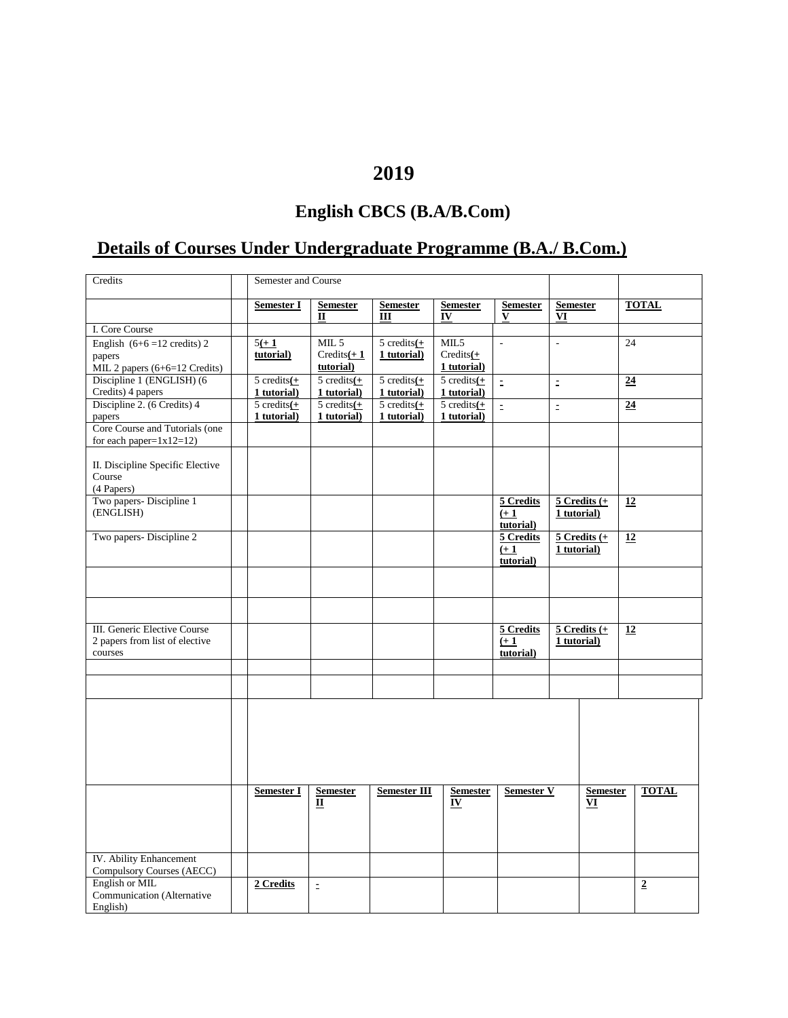## **2019**

## **English CBCS (B.A/B.Com)**

## **Details of Courses Under Undergraduate Programme (B.A./ B.Com.)**

| <b>TOTAL</b><br>Semester I<br><b>Semester</b><br><b>Semester</b><br><b>Semester</b><br><b>Semester</b><br><b>Semester</b><br>V<br>$\mathbf{I}$<br>Ш<br>IV<br>VI<br>I. Core Course<br>MIL <sub>5</sub><br>$5 \text{ credits} (+)$<br>MIL5<br>24<br>English $(6+6=12 \text{ credits})$ 2<br>$5(+1)$<br>$\overline{a}$<br>$\overline{a}$<br>tutorial)<br>$Credits(+1)$<br>1 tutorial)<br>$Credits(+)$<br>papers<br>1 tutorial)<br>tutorial)<br>MIL 2 papers (6+6=12 Credits)<br>Discipline 1 (ENGLISH) (6<br>$5 \text{ credits} (+)$<br>$5 \text{ credits} (+)$<br>$5 \text{ credits} (+)$<br>$5 \text{ credits} (+)$<br>24<br>$\equiv$<br>$\equiv$<br>Credits) 4 papers<br>1 tutorial)<br>1 tutorial)<br>1 tutorial)<br>1 tutorial)<br>Discipline 2. (6 Credits) 4<br>5 credits $\underline{(+)}$<br>$\frac{1}{5}$ credits $\frac{1}{1}$<br>5 credits $\underline{(+)}$<br>5 credits $\underline{(+)}$<br>$\overline{24}$<br>$\equiv$<br>$\equiv$<br>1 tutorial)<br>1 tutorial)<br>1 tutorial)<br>1 tutorial)<br>papers<br>Core Course and Tutorials (one<br>for each paper= $1x12=12$ )<br>II. Discipline Specific Elective<br>Course<br>(4 Papers)<br>Two papers- Discipline 1<br>$5$ Credits $(+$<br>5 Credits<br>12<br>(ENGLISH)<br>1 tutorial)<br>$(+1)$<br>tutorial)<br>Two papers- Discipline 2<br>$5$ Credits $(+)$<br>12<br>5 Credits<br>$(+1)$<br>1 tutorial)<br>tutorial) |
|------------------------------------------------------------------------------------------------------------------------------------------------------------------------------------------------------------------------------------------------------------------------------------------------------------------------------------------------------------------------------------------------------------------------------------------------------------------------------------------------------------------------------------------------------------------------------------------------------------------------------------------------------------------------------------------------------------------------------------------------------------------------------------------------------------------------------------------------------------------------------------------------------------------------------------------------------------------------------------------------------------------------------------------------------------------------------------------------------------------------------------------------------------------------------------------------------------------------------------------------------------------------------------------------------------------------------------------------------------------------------------|
|                                                                                                                                                                                                                                                                                                                                                                                                                                                                                                                                                                                                                                                                                                                                                                                                                                                                                                                                                                                                                                                                                                                                                                                                                                                                                                                                                                                    |
|                                                                                                                                                                                                                                                                                                                                                                                                                                                                                                                                                                                                                                                                                                                                                                                                                                                                                                                                                                                                                                                                                                                                                                                                                                                                                                                                                                                    |
|                                                                                                                                                                                                                                                                                                                                                                                                                                                                                                                                                                                                                                                                                                                                                                                                                                                                                                                                                                                                                                                                                                                                                                                                                                                                                                                                                                                    |
|                                                                                                                                                                                                                                                                                                                                                                                                                                                                                                                                                                                                                                                                                                                                                                                                                                                                                                                                                                                                                                                                                                                                                                                                                                                                                                                                                                                    |
|                                                                                                                                                                                                                                                                                                                                                                                                                                                                                                                                                                                                                                                                                                                                                                                                                                                                                                                                                                                                                                                                                                                                                                                                                                                                                                                                                                                    |
|                                                                                                                                                                                                                                                                                                                                                                                                                                                                                                                                                                                                                                                                                                                                                                                                                                                                                                                                                                                                                                                                                                                                                                                                                                                                                                                                                                                    |
|                                                                                                                                                                                                                                                                                                                                                                                                                                                                                                                                                                                                                                                                                                                                                                                                                                                                                                                                                                                                                                                                                                                                                                                                                                                                                                                                                                                    |
|                                                                                                                                                                                                                                                                                                                                                                                                                                                                                                                                                                                                                                                                                                                                                                                                                                                                                                                                                                                                                                                                                                                                                                                                                                                                                                                                                                                    |
|                                                                                                                                                                                                                                                                                                                                                                                                                                                                                                                                                                                                                                                                                                                                                                                                                                                                                                                                                                                                                                                                                                                                                                                                                                                                                                                                                                                    |
|                                                                                                                                                                                                                                                                                                                                                                                                                                                                                                                                                                                                                                                                                                                                                                                                                                                                                                                                                                                                                                                                                                                                                                                                                                                                                                                                                                                    |
|                                                                                                                                                                                                                                                                                                                                                                                                                                                                                                                                                                                                                                                                                                                                                                                                                                                                                                                                                                                                                                                                                                                                                                                                                                                                                                                                                                                    |
|                                                                                                                                                                                                                                                                                                                                                                                                                                                                                                                                                                                                                                                                                                                                                                                                                                                                                                                                                                                                                                                                                                                                                                                                                                                                                                                                                                                    |
|                                                                                                                                                                                                                                                                                                                                                                                                                                                                                                                                                                                                                                                                                                                                                                                                                                                                                                                                                                                                                                                                                                                                                                                                                                                                                                                                                                                    |
|                                                                                                                                                                                                                                                                                                                                                                                                                                                                                                                                                                                                                                                                                                                                                                                                                                                                                                                                                                                                                                                                                                                                                                                                                                                                                                                                                                                    |
|                                                                                                                                                                                                                                                                                                                                                                                                                                                                                                                                                                                                                                                                                                                                                                                                                                                                                                                                                                                                                                                                                                                                                                                                                                                                                                                                                                                    |
|                                                                                                                                                                                                                                                                                                                                                                                                                                                                                                                                                                                                                                                                                                                                                                                                                                                                                                                                                                                                                                                                                                                                                                                                                                                                                                                                                                                    |
|                                                                                                                                                                                                                                                                                                                                                                                                                                                                                                                                                                                                                                                                                                                                                                                                                                                                                                                                                                                                                                                                                                                                                                                                                                                                                                                                                                                    |
|                                                                                                                                                                                                                                                                                                                                                                                                                                                                                                                                                                                                                                                                                                                                                                                                                                                                                                                                                                                                                                                                                                                                                                                                                                                                                                                                                                                    |
|                                                                                                                                                                                                                                                                                                                                                                                                                                                                                                                                                                                                                                                                                                                                                                                                                                                                                                                                                                                                                                                                                                                                                                                                                                                                                                                                                                                    |
|                                                                                                                                                                                                                                                                                                                                                                                                                                                                                                                                                                                                                                                                                                                                                                                                                                                                                                                                                                                                                                                                                                                                                                                                                                                                                                                                                                                    |
|                                                                                                                                                                                                                                                                                                                                                                                                                                                                                                                                                                                                                                                                                                                                                                                                                                                                                                                                                                                                                                                                                                                                                                                                                                                                                                                                                                                    |
|                                                                                                                                                                                                                                                                                                                                                                                                                                                                                                                                                                                                                                                                                                                                                                                                                                                                                                                                                                                                                                                                                                                                                                                                                                                                                                                                                                                    |
|                                                                                                                                                                                                                                                                                                                                                                                                                                                                                                                                                                                                                                                                                                                                                                                                                                                                                                                                                                                                                                                                                                                                                                                                                                                                                                                                                                                    |
| III. Generic Elective Course<br>5 Credits<br>$5$ Credits $(+$<br>12                                                                                                                                                                                                                                                                                                                                                                                                                                                                                                                                                                                                                                                                                                                                                                                                                                                                                                                                                                                                                                                                                                                                                                                                                                                                                                                |
| 2 papers from list of elective<br>1 tutorial)<br>$(+1)$                                                                                                                                                                                                                                                                                                                                                                                                                                                                                                                                                                                                                                                                                                                                                                                                                                                                                                                                                                                                                                                                                                                                                                                                                                                                                                                            |
| courses<br>tutorial)                                                                                                                                                                                                                                                                                                                                                                                                                                                                                                                                                                                                                                                                                                                                                                                                                                                                                                                                                                                                                                                                                                                                                                                                                                                                                                                                                               |
|                                                                                                                                                                                                                                                                                                                                                                                                                                                                                                                                                                                                                                                                                                                                                                                                                                                                                                                                                                                                                                                                                                                                                                                                                                                                                                                                                                                    |
|                                                                                                                                                                                                                                                                                                                                                                                                                                                                                                                                                                                                                                                                                                                                                                                                                                                                                                                                                                                                                                                                                                                                                                                                                                                                                                                                                                                    |
|                                                                                                                                                                                                                                                                                                                                                                                                                                                                                                                                                                                                                                                                                                                                                                                                                                                                                                                                                                                                                                                                                                                                                                                                                                                                                                                                                                                    |
|                                                                                                                                                                                                                                                                                                                                                                                                                                                                                                                                                                                                                                                                                                                                                                                                                                                                                                                                                                                                                                                                                                                                                                                                                                                                                                                                                                                    |
|                                                                                                                                                                                                                                                                                                                                                                                                                                                                                                                                                                                                                                                                                                                                                                                                                                                                                                                                                                                                                                                                                                                                                                                                                                                                                                                                                                                    |
|                                                                                                                                                                                                                                                                                                                                                                                                                                                                                                                                                                                                                                                                                                                                                                                                                                                                                                                                                                                                                                                                                                                                                                                                                                                                                                                                                                                    |
|                                                                                                                                                                                                                                                                                                                                                                                                                                                                                                                                                                                                                                                                                                                                                                                                                                                                                                                                                                                                                                                                                                                                                                                                                                                                                                                                                                                    |
|                                                                                                                                                                                                                                                                                                                                                                                                                                                                                                                                                                                                                                                                                                                                                                                                                                                                                                                                                                                                                                                                                                                                                                                                                                                                                                                                                                                    |
| <b>Semester V</b><br><b>TOTAL</b><br><b>Semester I</b><br><b>Semester</b><br><b>Semester III</b><br><b>Semester</b><br><b>Semester</b>                                                                                                                                                                                                                                                                                                                                                                                                                                                                                                                                                                                                                                                                                                                                                                                                                                                                                                                                                                                                                                                                                                                                                                                                                                             |
| $\mathbf{I}$<br>IV<br>VI                                                                                                                                                                                                                                                                                                                                                                                                                                                                                                                                                                                                                                                                                                                                                                                                                                                                                                                                                                                                                                                                                                                                                                                                                                                                                                                                                           |
|                                                                                                                                                                                                                                                                                                                                                                                                                                                                                                                                                                                                                                                                                                                                                                                                                                                                                                                                                                                                                                                                                                                                                                                                                                                                                                                                                                                    |
|                                                                                                                                                                                                                                                                                                                                                                                                                                                                                                                                                                                                                                                                                                                                                                                                                                                                                                                                                                                                                                                                                                                                                                                                                                                                                                                                                                                    |
|                                                                                                                                                                                                                                                                                                                                                                                                                                                                                                                                                                                                                                                                                                                                                                                                                                                                                                                                                                                                                                                                                                                                                                                                                                                                                                                                                                                    |
| IV. Ability Enhancement                                                                                                                                                                                                                                                                                                                                                                                                                                                                                                                                                                                                                                                                                                                                                                                                                                                                                                                                                                                                                                                                                                                                                                                                                                                                                                                                                            |
| Compulsory Courses (AECC)                                                                                                                                                                                                                                                                                                                                                                                                                                                                                                                                                                                                                                                                                                                                                                                                                                                                                                                                                                                                                                                                                                                                                                                                                                                                                                                                                          |
| English or MIL<br>2 Credits<br>$\overline{2}$                                                                                                                                                                                                                                                                                                                                                                                                                                                                                                                                                                                                                                                                                                                                                                                                                                                                                                                                                                                                                                                                                                                                                                                                                                                                                                                                      |
| $\bar{\Xi}$<br>Communication (Alternative                                                                                                                                                                                                                                                                                                                                                                                                                                                                                                                                                                                                                                                                                                                                                                                                                                                                                                                                                                                                                                                                                                                                                                                                                                                                                                                                          |
| English)                                                                                                                                                                                                                                                                                                                                                                                                                                                                                                                                                                                                                                                                                                                                                                                                                                                                                                                                                                                                                                                                                                                                                                                                                                                                                                                                                                           |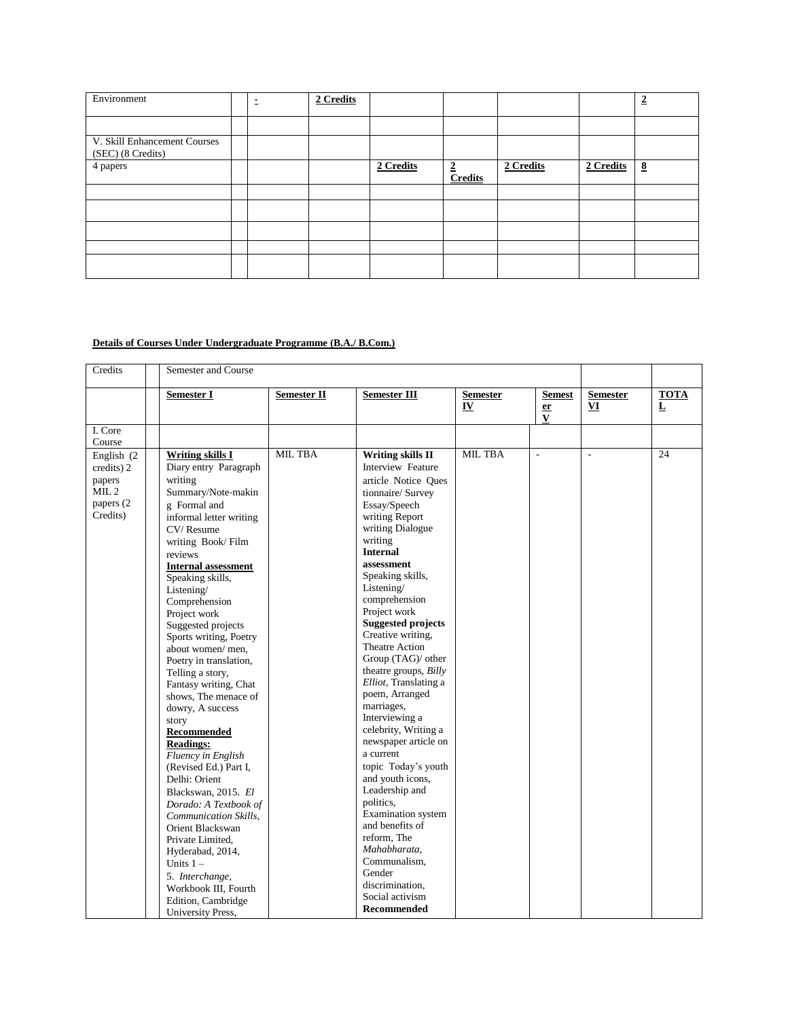| Environment                                       | $\overline{\phantom{0}}$<br>$\sim$ | 2 Credits |           |                                  |           |           | $\overline{2}$      |
|---------------------------------------------------|------------------------------------|-----------|-----------|----------------------------------|-----------|-----------|---------------------|
|                                                   |                                    |           |           |                                  |           |           |                     |
| V. Skill Enhancement Courses<br>(SEC) (8 Credits) |                                    |           |           |                                  |           |           |                     |
| 4 papers                                          |                                    |           | 2 Credits | $\overline{2}$<br><b>Credits</b> | 2 Credits | 2 Credits | $\underline{\bf 8}$ |
|                                                   |                                    |           |           |                                  |           |           |                     |
|                                                   |                                    |           |           |                                  |           |           |                     |
|                                                   |                                    |           |           |                                  |           |           |                     |
|                                                   |                                    |           |           |                                  |           |           |                     |
|                                                   |                                    |           |           |                                  |           |           |                     |

#### **Details of Courses Under Undergraduate Programme (B.A./ B.Com.)**

| Credits                                                                  | Semester and Course                                                                                                                                                                                                                                                                                                                                                                                                                                                                                                                                                                                                                                                                                                                                                                                                            |                          |                                                                                                                                                                                                                                                                                                                                                                                                                                                                                                                                                                                                                                                                                                                                                                          |                       |                                 |                       |                             |
|--------------------------------------------------------------------------|--------------------------------------------------------------------------------------------------------------------------------------------------------------------------------------------------------------------------------------------------------------------------------------------------------------------------------------------------------------------------------------------------------------------------------------------------------------------------------------------------------------------------------------------------------------------------------------------------------------------------------------------------------------------------------------------------------------------------------------------------------------------------------------------------------------------------------|--------------------------|--------------------------------------------------------------------------------------------------------------------------------------------------------------------------------------------------------------------------------------------------------------------------------------------------------------------------------------------------------------------------------------------------------------------------------------------------------------------------------------------------------------------------------------------------------------------------------------------------------------------------------------------------------------------------------------------------------------------------------------------------------------------------|-----------------------|---------------------------------|-----------------------|-----------------------------|
|                                                                          | <b>Semester I</b>                                                                                                                                                                                                                                                                                                                                                                                                                                                                                                                                                                                                                                                                                                                                                                                                              | Semester $\overline{II}$ | Semester III                                                                                                                                                                                                                                                                                                                                                                                                                                                                                                                                                                                                                                                                                                                                                             | <b>Semester</b><br>IV | <b>Semest</b><br>$\frac{er}{V}$ | <b>Semester</b><br>VI | <b>TOTA</b><br>$\mathbf{L}$ |
| I. Core<br>Course                                                        |                                                                                                                                                                                                                                                                                                                                                                                                                                                                                                                                                                                                                                                                                                                                                                                                                                |                          |                                                                                                                                                                                                                                                                                                                                                                                                                                                                                                                                                                                                                                                                                                                                                                          |                       |                                 |                       |                             |
| English (2)<br>credits) 2<br>papers<br>$MIL$ 2<br>papers (2)<br>Credits) | <b>Writing skills I</b><br>Diary entry Paragraph<br>writing<br>Summary/Note-makin<br>g Formal and<br>informal letter writing<br>CV/Resume<br>writing Book/Film<br>reviews<br><b>Internal assessment</b><br>Speaking skills,<br>Listening/<br>Comprehension<br>Project work<br>Suggested projects<br>Sports writing, Poetry<br>about women/men,<br>Poetry in translation,<br>Telling a story,<br>Fantasy writing, Chat<br>shows, The menace of<br>dowry, A success<br>story<br><b>Recommended</b><br><b>Readings:</b><br>Fluency in English<br>(Revised Ed.) Part I.<br>Delhi: Orient<br>Blackswan, 2015. El<br>Dorado: A Textbook of<br>Communication Skills,<br>Orient Blackswan<br>Private Limited,<br>Hyderabad, 2014,<br>Units $1 -$<br>5. Interchange,<br>Workbook III, Fourth<br>Edition, Cambridge<br>University Press, | <b>MIL TBA</b>           | <b>Writing skills II</b><br><b>Interview Feature</b><br>article Notice Oues<br>tionnaire/ Survey<br>Essay/Speech<br>writing Report<br>writing Dialogue<br>writing<br><b>Internal</b><br>assessment<br>Speaking skills,<br>Listening/<br>comprehension<br>Project work<br><b>Suggested projects</b><br>Creative writing.<br>Theatre Action<br>Group (TAG)/ other<br>theatre groups, Billy<br>Elliot, Translating a<br>poem, Arranged<br>marriages,<br>Interviewing a<br>celebrity, Writing a<br>newspaper article on<br>a current<br>topic Today's youth<br>and youth icons,<br>Leadership and<br>politics,<br><b>Examination</b> system<br>and benefits of<br>reform, The<br>Mahabharata.<br>Communalism,<br>Gender<br>discrimination.<br>Social activism<br>Recommended | <b>MIL TBA</b>        | $\overline{a}$                  | L.                    | 24                          |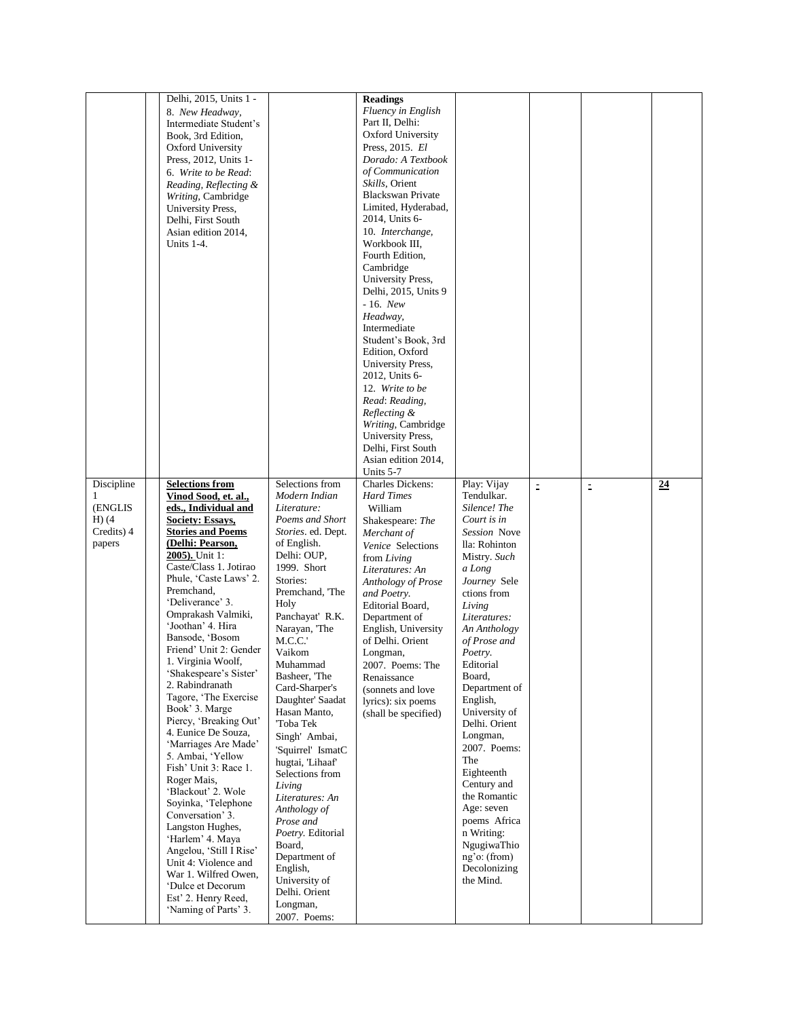|            | Delhi, 2015, Units 1 -                       |                                 | <b>Readings</b>                             |                                |           |          |    |
|------------|----------------------------------------------|---------------------------------|---------------------------------------------|--------------------------------|-----------|----------|----|
|            | 8. New Headway,                              |                                 | Fluency in English                          |                                |           |          |    |
|            | Intermediate Student's                       |                                 | Part II, Delhi:<br><b>Oxford University</b> |                                |           |          |    |
|            | Book, 3rd Edition,<br>Oxford University      |                                 | Press, 2015. El                             |                                |           |          |    |
|            | Press, 2012, Units 1-                        |                                 | Dorado: A Textbook                          |                                |           |          |    |
|            | 6. Write to be Read:                         |                                 | of Communication                            |                                |           |          |    |
|            | Reading, Reflecting &                        |                                 | Skills, Orient                              |                                |           |          |    |
|            | Writing, Cambridge                           |                                 | <b>Blackswan Private</b>                    |                                |           |          |    |
|            | University Press,                            |                                 | Limited, Hyderabad,                         |                                |           |          |    |
|            | Delhi, First South<br>Asian edition 2014,    |                                 | 2014, Units 6-<br>10. Interchange,          |                                |           |          |    |
|            | Units 1-4.                                   |                                 | Workbook III,                               |                                |           |          |    |
|            |                                              |                                 | Fourth Edition,                             |                                |           |          |    |
|            |                                              |                                 | Cambridge                                   |                                |           |          |    |
|            |                                              |                                 | University Press,                           |                                |           |          |    |
|            |                                              |                                 | Delhi, 2015, Units 9                        |                                |           |          |    |
|            |                                              |                                 | $-16.$ New<br>Headway,                      |                                |           |          |    |
|            |                                              |                                 | Intermediate                                |                                |           |          |    |
|            |                                              |                                 | Student's Book, 3rd                         |                                |           |          |    |
|            |                                              |                                 | Edition, Oxford                             |                                |           |          |    |
|            |                                              |                                 | University Press,                           |                                |           |          |    |
|            |                                              |                                 | 2012, Units 6-                              |                                |           |          |    |
|            |                                              |                                 | 12. Write to be                             |                                |           |          |    |
|            |                                              |                                 | Read: Reading,<br>Reflecting &              |                                |           |          |    |
|            |                                              |                                 | Writing, Cambridge                          |                                |           |          |    |
|            |                                              |                                 | University Press,                           |                                |           |          |    |
|            |                                              |                                 | Delhi, First South                          |                                |           |          |    |
|            |                                              |                                 | Asian edition 2014,                         |                                |           |          |    |
| Discipline | <b>Selections from</b>                       | Selections from                 | Units 5-7<br><b>Charles Dickens:</b>        | Play: Vijay                    | $\bar{z}$ | $\equiv$ | 24 |
| 1          |                                              | Modern Indian                   | <b>Hard Times</b>                           | Tendulkar.                     |           |          |    |
|            |                                              |                                 |                                             |                                |           |          |    |
| (ENGLIS    | Vinod Sood, et. al.,<br>eds., Individual and | Literature:                     | William                                     | Silence! The                   |           |          |    |
| $H(x)$ (4  | Society: Essays,                             | Poems and Short                 | Shakespeare: The                            | Court is in                    |           |          |    |
| Credits) 4 | <b>Stories and Poems</b>                     | Stories. ed. Dept.              | Merchant of                                 | Session Nove                   |           |          |    |
| papers     | (Delhi: Pearson,                             | of English.                     | Venice Selections                           | lla: Rohinton                  |           |          |    |
|            | 2005). Unit 1:<br>Caste/Class 1. Jotirao     | Delhi: OUP,<br>1999. Short      | from Living                                 | Mistry. Such                   |           |          |    |
|            | Phule, 'Caste Laws' 2.                       | Stories:                        | Literatures: An<br>Anthology of Prose       | a Long<br>Journey Sele         |           |          |    |
|            | Premchand,                                   | Premchand, 'The                 | and Poetry.                                 | ctions from                    |           |          |    |
|            | 'Deliverance' 3.                             | Holy                            | Editorial Board,                            | Living                         |           |          |    |
|            | Omprakash Valmiki,                           | Panchayat' R.K.                 | Department of                               | Literatures:                   |           |          |    |
|            | 'Joothan' 4. Hira<br>Bansode, 'Bosom         | Narayan, 'The                   | English, University                         | An Anthology                   |           |          |    |
|            | Friend' Unit 2: Gender                       | M.C.C.<br>Vaikom                | of Delhi. Orient<br>Longman,                | of Prose and<br>Poetry.        |           |          |    |
|            | 1. Virginia Woolf,                           | Muhammad                        | 2007. Poems: The                            | Editorial                      |           |          |    |
|            | 'Shakespeare's Sister'                       | Basheer, 'The                   | Renaissance                                 | Board,                         |           |          |    |
|            | 2. Rabindranath                              | Card-Sharper's                  | (sonnets and love                           | Department of                  |           |          |    |
|            | Tagore, 'The Exercise<br>Book' 3. Marge      | Daughter' Saadat                | lyrics): six poems                          | English,                       |           |          |    |
|            | Piercy, 'Breaking Out'                       | Hasan Manto,<br>'Toba Tek       | (shall be specified)                        | University of<br>Delhi. Orient |           |          |    |
|            | 4. Eunice De Souza,                          | Singh' Ambai,                   |                                             | Longman,                       |           |          |    |
|            | 'Marriages Are Made'                         | 'Squirrel' IsmatC               |                                             | 2007. Poems:                   |           |          |    |
|            | 5. Ambai, 'Yellow<br>Fish' Unit 3: Race 1.   | hugtai, 'Lihaaf'                |                                             | The                            |           |          |    |
|            | Roger Mais,                                  | Selections from                 |                                             | Eighteenth                     |           |          |    |
|            | 'Blackout' 2. Wole                           | Living                          |                                             | Century and<br>the Romantic    |           |          |    |
|            | Soyinka, 'Telephone                          | Literatures: An<br>Anthology of |                                             | Age: seven                     |           |          |    |
|            | Conversation' 3.                             | Prose and                       |                                             | poems Africa                   |           |          |    |
|            | Langston Hughes,<br>'Harlem' 4. Maya         | Poetry. Editorial               |                                             | n Writing:                     |           |          |    |
|            | Angelou, 'Still I Rise'                      | Board,                          |                                             | NgugiwaThio                    |           |          |    |
|            | Unit 4: Violence and                         | Department of                   |                                             | ng'o: (from)                   |           |          |    |
|            | War 1. Wilfred Owen,                         | English,<br>University of       |                                             | Decolonizing<br>the Mind.      |           |          |    |
|            | 'Dulce et Decorum                            | Delhi. Orient                   |                                             |                                |           |          |    |
|            | Est' 2. Henry Reed,<br>'Naming of Parts' 3.  | Longman,<br>2007. Poems:        |                                             |                                |           |          |    |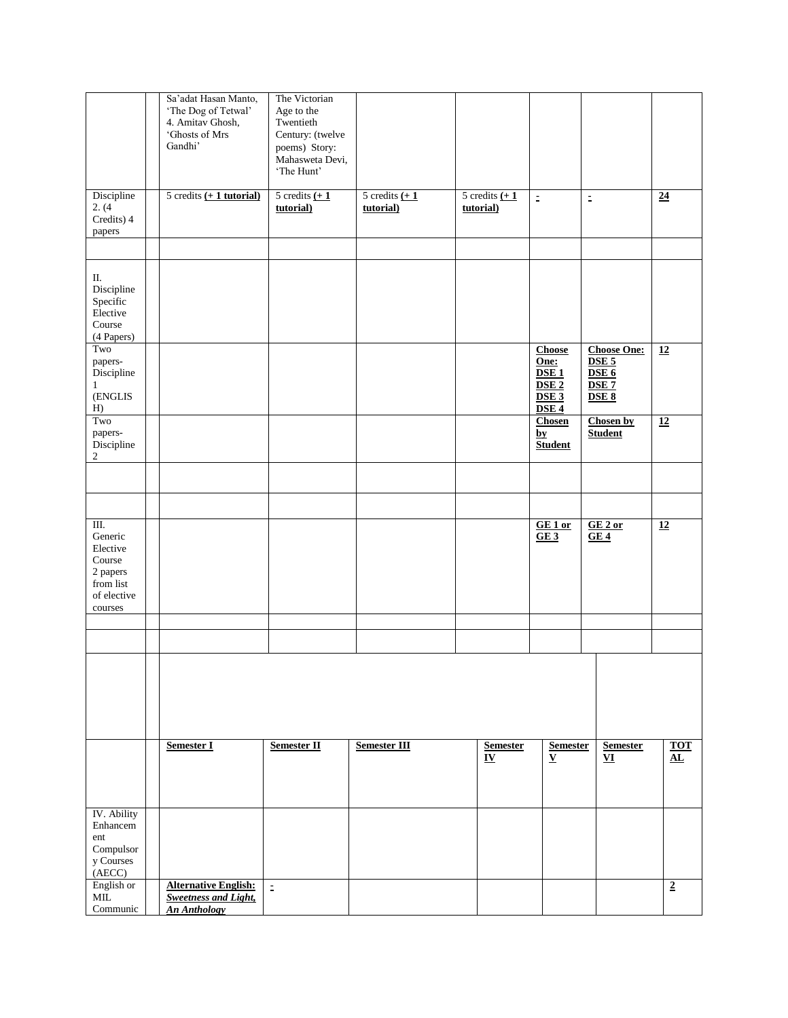|                                                                                          | Sa'adat Hasan Manto,<br>'The Dog of Tetwal'<br>4. Amitav Ghosh,<br>'Ghosts of Mrs<br>Gandhi' | The Victorian<br>Age to the<br>Twentieth<br>Century: (twelve<br>poems) Story:<br>Mahasweta Devi,<br>'The Hunt' |                                           |                                           |                                                                                                                  |                                                                                                             |                                      |
|------------------------------------------------------------------------------------------|----------------------------------------------------------------------------------------------|----------------------------------------------------------------------------------------------------------------|-------------------------------------------|-------------------------------------------|------------------------------------------------------------------------------------------------------------------|-------------------------------------------------------------------------------------------------------------|--------------------------------------|
| Discipline<br>2. (4)<br>Credits) 4<br>papers                                             | 5 credits $(+ 1$ tutorial)                                                                   | 5 credits $\underline{(+1)}$<br>tutorial)                                                                      | 5 credits $\underline{(+1)}$<br>tutorial) | 5 credits $\underline{(+1)}$<br>tutorial) | $\bar{\Xi}$                                                                                                      | $\mathbb{D}$                                                                                                | $\overline{24}$                      |
|                                                                                          |                                                                                              |                                                                                                                |                                           |                                           |                                                                                                                  |                                                                                                             |                                      |
| П.<br>Discipline<br>Specific<br>Elective<br>Course<br>(4 Papers)                         |                                                                                              |                                                                                                                |                                           |                                           |                                                                                                                  |                                                                                                             |                                      |
| Two<br>papers-<br>Discipline<br>$\mathbf{1}$<br>(ENGLIS<br>H)                            |                                                                                              |                                                                                                                |                                           |                                           | Choose<br>One:<br>$\overline{\text{DSE 1}}$<br>DSE <sub>2</sub><br>$\overline{\text{DSE 3}}$<br>DSE <sub>4</sub> | <b>Choose One:</b><br>DSE <sub>5</sub><br>$\overline{\text{DSE 6}}$<br>DSE <sub>7</sub><br>DSE <sub>8</sub> | $\overline{12}$                      |
| Two<br>papers-<br>Discipline<br>$\overline{\mathbf{c}}$                                  |                                                                                              |                                                                                                                |                                           |                                           | <b>Chosen</b><br>$\mathbf{by}$<br><b>Student</b>                                                                 | <b>Chosen by</b><br><b>Student</b>                                                                          | $\overline{12}$                      |
|                                                                                          |                                                                                              |                                                                                                                |                                           |                                           |                                                                                                                  |                                                                                                             |                                      |
|                                                                                          |                                                                                              |                                                                                                                |                                           |                                           |                                                                                                                  |                                                                                                             |                                      |
| III.<br>Generic<br>Elective<br>Course<br>2 papers<br>from list<br>of elective<br>courses |                                                                                              |                                                                                                                |                                           |                                           | GE 1 or<br>GE3                                                                                                   | GE2 or<br>GE4                                                                                               | $\overline{12}$                      |
|                                                                                          |                                                                                              |                                                                                                                |                                           |                                           |                                                                                                                  |                                                                                                             |                                      |
|                                                                                          |                                                                                              |                                                                                                                |                                           |                                           |                                                                                                                  |                                                                                                             |                                      |
|                                                                                          |                                                                                              |                                                                                                                |                                           |                                           |                                                                                                                  |                                                                                                             |                                      |
|                                                                                          | <b>Semester I</b>                                                                            | Semester II                                                                                                    | Semester III                              | <b>Semester</b><br>$\mathbf{I}\mathbf{V}$ | <b>Semester</b><br>$\mathbf{V}$                                                                                  | <b>Semester</b><br>${\bf v}$                                                                                | <b>TOT</b><br>$\mathbf{A}\mathbf{L}$ |
| IV. Ability<br>Enhancem<br>ent<br>Compulsor<br>y Courses<br>(AECC)                       |                                                                                              |                                                                                                                |                                           |                                           |                                                                                                                  |                                                                                                             |                                      |
| English or<br>MIL<br>Communic                                                            | <b>Alternative English:</b><br><b>Sweetness and Light,</b><br><b>An Anthology</b>            | $\pm$                                                                                                          |                                           |                                           |                                                                                                                  |                                                                                                             | $\overline{2}$                       |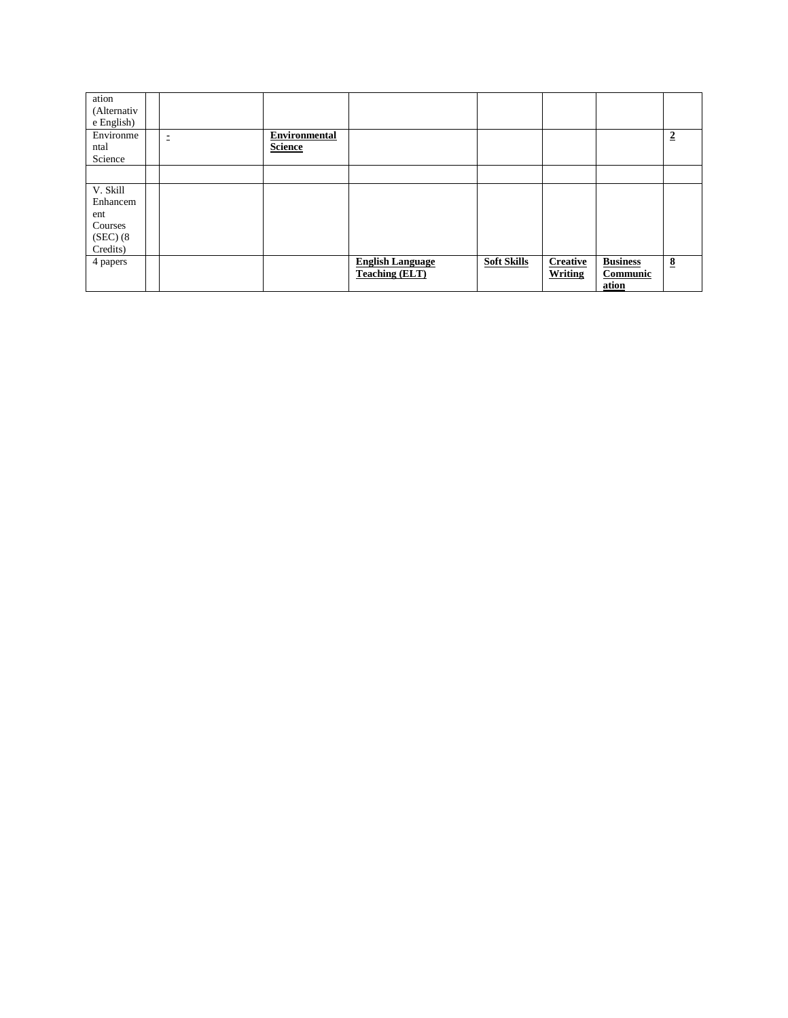| ation<br>(Alternativ<br>e English)                              |   |                                 |                                                  |                    |                            |                                      |                         |
|-----------------------------------------------------------------|---|---------------------------------|--------------------------------------------------|--------------------|----------------------------|--------------------------------------|-------------------------|
| Environme<br>ntal<br>Science                                    | Ξ | Environmental<br><b>Science</b> |                                                  |                    |                            |                                      | $\overline{2}$          |
|                                                                 |   |                                 |                                                  |                    |                            |                                      |                         |
| V. Skill<br>Enhancem<br>ent<br>Courses<br>(SEC) (8)<br>Credits) |   |                                 |                                                  |                    |                            |                                      |                         |
| 4 papers                                                        |   |                                 | <b>English Language</b><br><b>Teaching (ELT)</b> | <b>Soft Skills</b> | <b>Creative</b><br>Writing | <b>Business</b><br>Communic<br>ation | $\overline{\mathbf{8}}$ |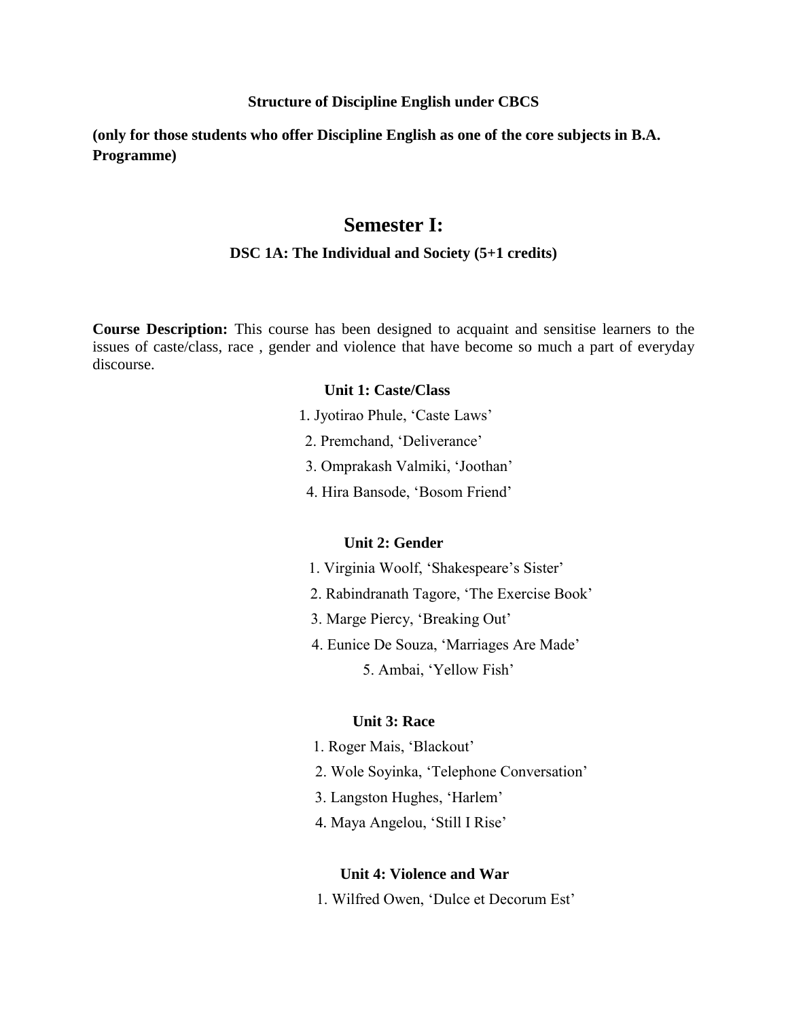#### **Structure of Discipline English under CBCS**

**(only for those students who offer Discipline English as one of the core subjects in B.A. Programme)**

## **Semester I:**

#### **DSC 1A: The Individual and Society (5+1 credits)**

**Course Description:** This course has been designed to acquaint and sensitise learners to the issues of caste/class, race , gender and violence that have become so much a part of everyday discourse.

## **Unit 1: Caste/Class**

- 1. Jyotirao Phule, 'Caste Laws'
- 2. Premchand, 'Deliverance'
- 3. Omprakash Valmiki, 'Joothan'
- 4. Hira Bansode, 'Bosom Friend'

#### **Unit 2: Gender**

- 1. Virginia Woolf, 'Shakespeare's Sister'
- 2. Rabindranath Tagore, 'The Exercise Book'
- 3. Marge Piercy, 'Breaking Out'
- 4. Eunice De Souza, 'Marriages Are Made'
	- 5. Ambai, 'Yellow Fish'

## **Unit 3: Race**

- 1. Roger Mais, 'Blackout'
- 2. Wole Soyinka, 'Telephone Conversation'
- 3. Langston Hughes, 'Harlem'
- 4. Maya Angelou, 'Still I Rise'

#### **Unit 4: Violence and War**

1. Wilfred Owen, 'Dulce et Decorum Est'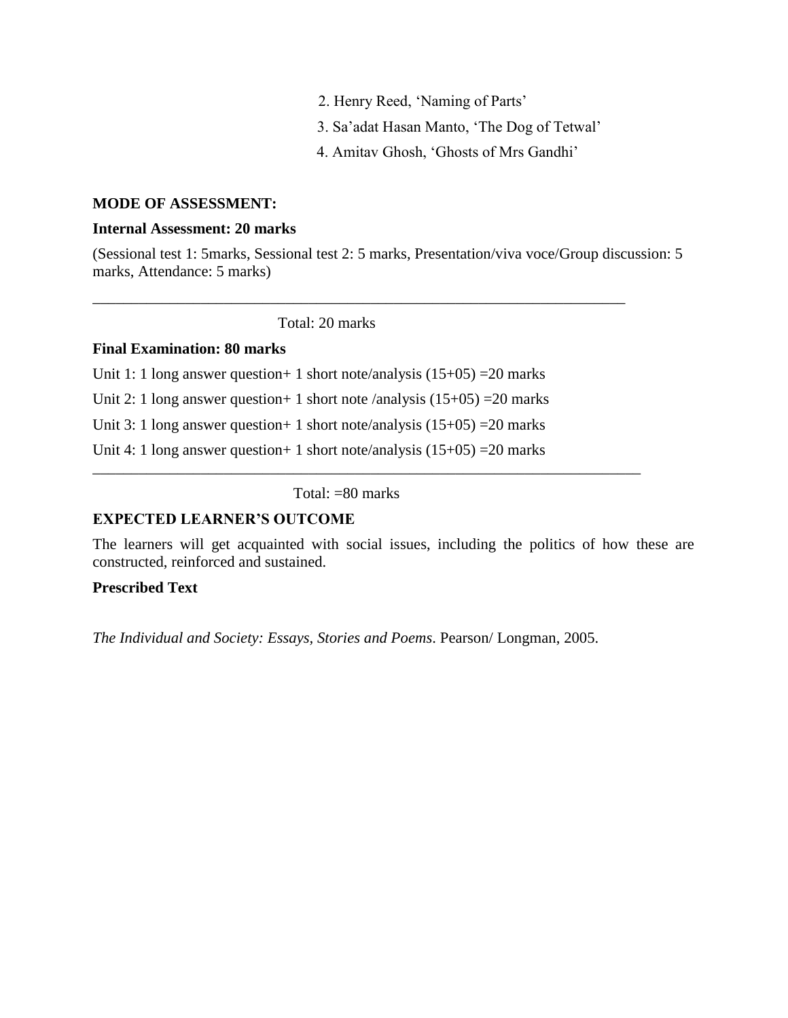- 2. Henry Reed, 'Naming of Parts'
- 3. Sa'adat Hasan Manto, 'The Dog of Tetwal'
- 4. Amitav Ghosh, 'Ghosts of Mrs Gandhi'

## **MODE OF ASSESSMENT:**

## **Internal Assessment: 20 marks**

(Sessional test 1: 5marks, Sessional test 2: 5 marks, Presentation/viva voce/Group discussion: 5 marks, Attendance: 5 marks)

\_\_\_\_\_\_\_\_\_\_\_\_\_\_\_\_\_\_\_\_\_\_\_\_\_\_\_\_\_\_\_\_\_\_\_\_\_\_\_\_\_\_\_\_\_\_\_\_\_\_\_\_\_\_\_\_\_\_\_\_\_\_\_\_\_\_\_\_\_

Total: 20 marks

## **Final Examination: 80 marks**

Unit 1: 1 long answer question + 1 short note/analysis  $(15+05)$  = 20 marks Unit 2: 1 long answer question + 1 short note /analysis  $(15+05)$  = 20 marks Unit 3: 1 long answer question + 1 short note/analysis  $(15+05)$  = 20 marks Unit 4: 1 long answer question + 1 short note/analysis  $(15+05)$  = 20 marks

Total: =80 marks

\_\_\_\_\_\_\_\_\_\_\_\_\_\_\_\_\_\_\_\_\_\_\_\_\_\_\_\_\_\_\_\_\_\_\_\_\_\_\_\_\_\_\_\_\_\_\_\_\_\_\_\_\_\_\_\_\_\_\_\_\_\_\_\_\_\_\_\_\_\_\_

## **EXPECTED LEARNER'S OUTCOME**

The learners will get acquainted with social issues, including the politics of how these are constructed, reinforced and sustained.

## **Prescribed Text**

*The Individual and Society: Essays, Stories and Poems*. Pearson/ Longman, 2005.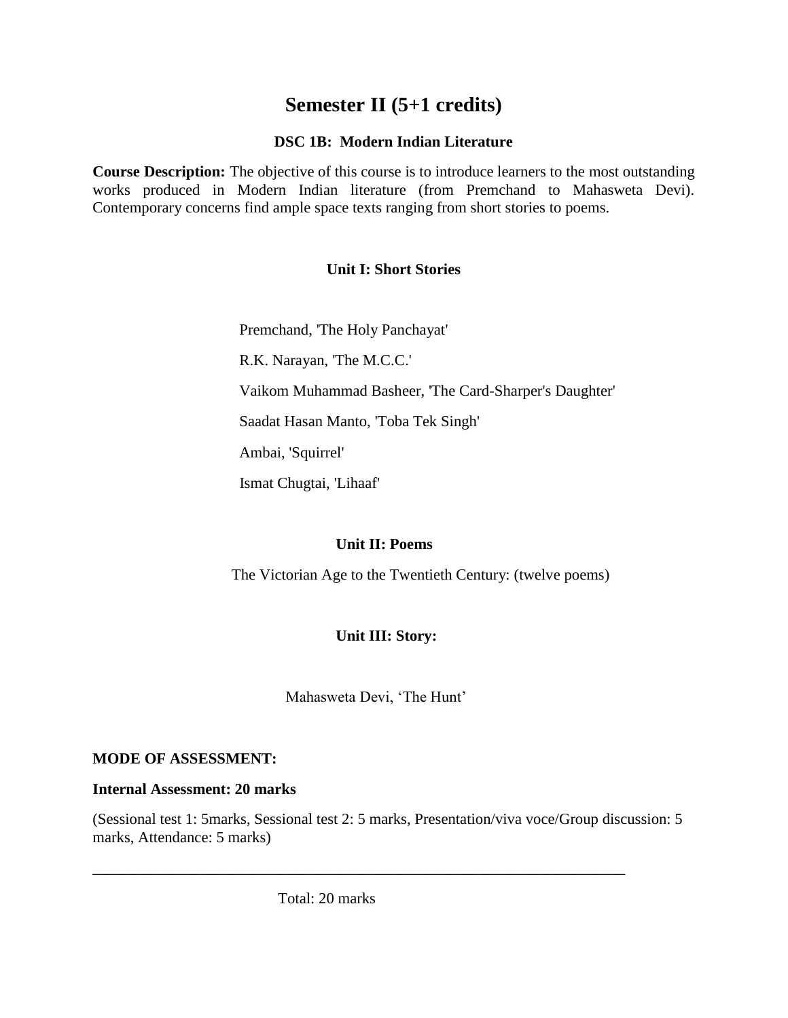## **Semester II (5+1 credits)**

## **DSC 1B: Modern Indian Literature**

**Course Description:** The objective of this course is to introduce learners to the most outstanding works produced in Modern Indian literature (from Premchand to Mahasweta Devi). Contemporary concerns find ample space texts ranging from short stories to poems.

## **Unit I: Short Stories**

Premchand, 'The Holy Panchayat'

R.K. Narayan, 'The M.C.C.'

Vaikom Muhammad Basheer, 'The Card-Sharper's Daughter'

Saadat Hasan Manto, 'Toba Tek Singh'

Ambai, 'Squirrel'

Ismat Chugtai, 'Lihaaf'

## **Unit II: Poems**

The Victorian Age to the Twentieth Century: (twelve poems)

## **Unit III: Story:**

Mahasweta Devi, 'The Hunt'

## **MODE OF ASSESSMENT:**

## **Internal Assessment: 20 marks**

(Sessional test 1: 5marks, Sessional test 2: 5 marks, Presentation/viva voce/Group discussion: 5 marks, Attendance: 5 marks)

\_\_\_\_\_\_\_\_\_\_\_\_\_\_\_\_\_\_\_\_\_\_\_\_\_\_\_\_\_\_\_\_\_\_\_\_\_\_\_\_\_\_\_\_\_\_\_\_\_\_\_\_\_\_\_\_\_\_\_\_\_\_\_\_\_\_\_\_\_

Total: 20 marks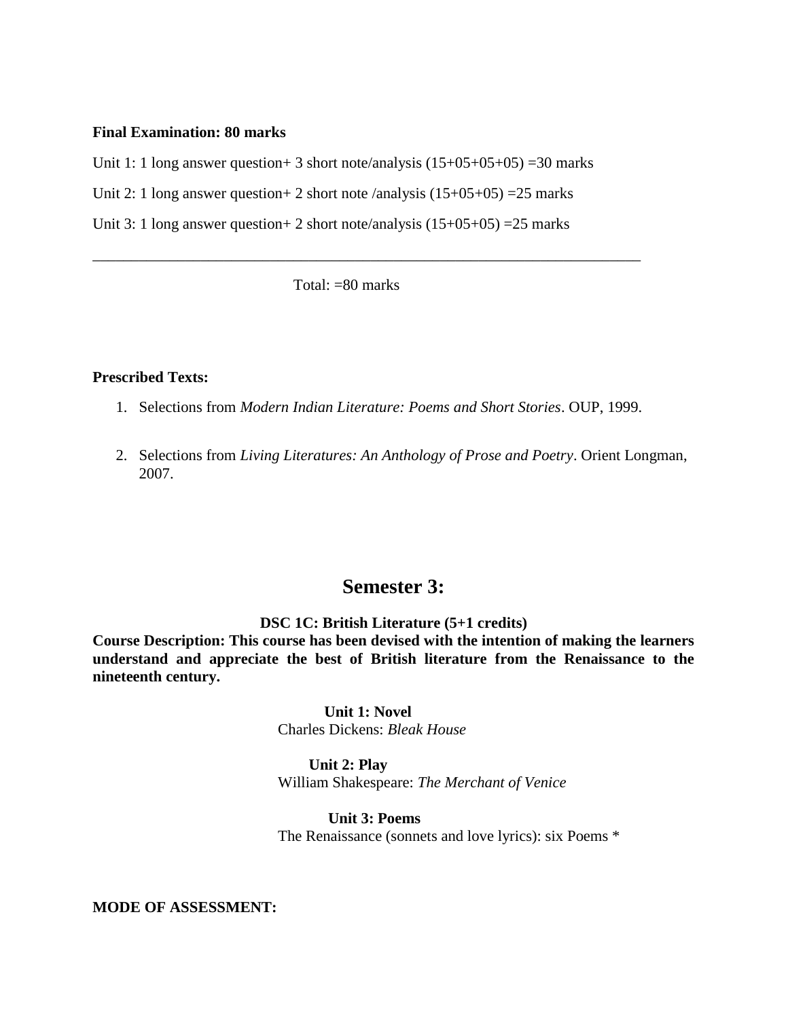#### **Final Examination: 80 marks**

Unit 1: 1 long answer question + 3 short note/analysis  $(15+05+05+05)$  = 30 marks

Unit 2: 1 long answer question + 2 short note /analysis  $(15+05+05)$  = 25 marks

Unit 3: 1 long answer question + 2 short note/analysis  $(15+05+05)$  = 25 marks

Total: =80 marks

\_\_\_\_\_\_\_\_\_\_\_\_\_\_\_\_\_\_\_\_\_\_\_\_\_\_\_\_\_\_\_\_\_\_\_\_\_\_\_\_\_\_\_\_\_\_\_\_\_\_\_\_\_\_\_\_\_\_\_\_\_\_\_\_\_\_\_\_\_\_\_

#### **Prescribed Texts:**

- 1. Selections from *Modern Indian Literature: Poems and Short Stories*. OUP, 1999.
- 2. Selections from *Living Literatures: An Anthology of Prose and Poetry*. Orient Longman, 2007.

## **Semester 3:**

**DSC 1C: British Literature (5+1 credits)**

**Course Description: This course has been devised with the intention of making the learners understand and appreciate the best of British literature from the Renaissance to the nineteenth century.** 

> **Unit 1: Novel**  Charles Dickens: *Bleak House*

 **Unit 2: Play** William Shakespeare: *The Merchant of Venice*

 **Unit 3: Poems**  The Renaissance (sonnets and love lyrics): six Poems \*

**MODE OF ASSESSMENT:**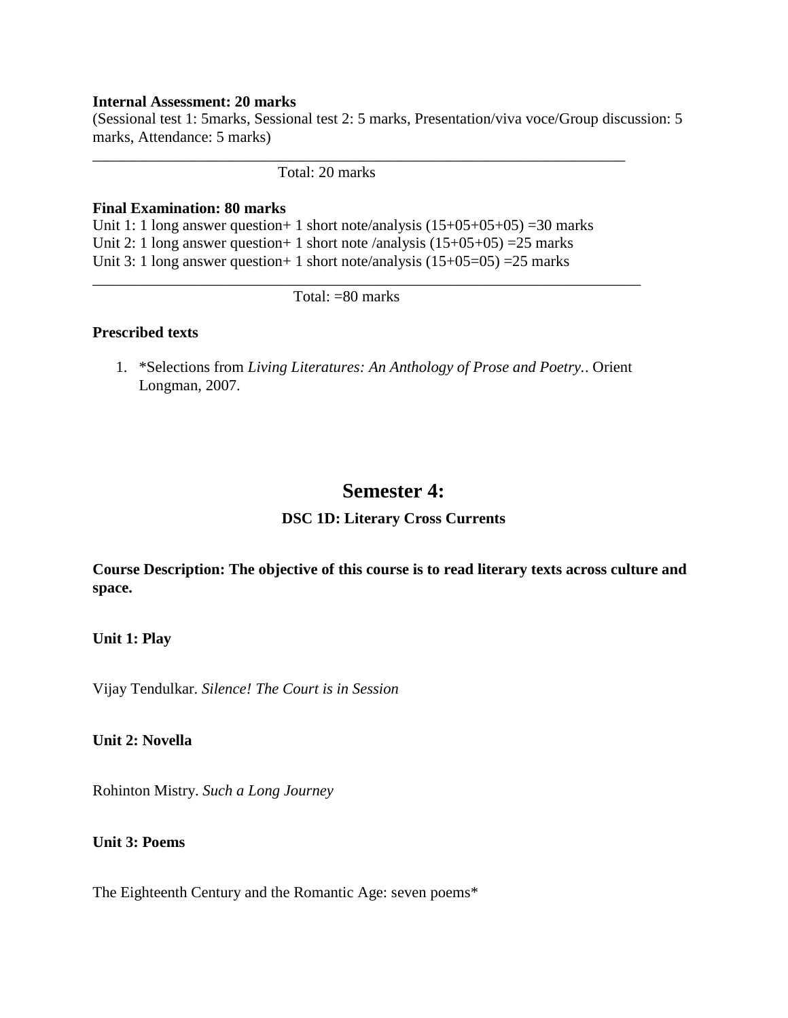### **Internal Assessment: 20 marks**

(Sessional test 1: 5marks, Sessional test 2: 5 marks, Presentation/viva voce/Group discussion: 5 marks, Attendance: 5 marks)

\_\_\_\_\_\_\_\_\_\_\_\_\_\_\_\_\_\_\_\_\_\_\_\_\_\_\_\_\_\_\_\_\_\_\_\_\_\_\_\_\_\_\_\_\_\_\_\_\_\_\_\_\_\_\_\_\_\_\_\_\_\_\_\_\_\_\_\_\_

## Total: 20 marks

#### **Final Examination: 80 marks**

Unit 1: 1 long answer question + 1 short note/analysis  $(15+05+05+05)$  =30 marks Unit 2: 1 long answer question + 1 short note /analysis  $(15+05+05)$  = 25 marks Unit 3: 1 long answer question + 1 short note/analysis  $(15+05=05)$  = 25 marks

Total: =80 marks

\_\_\_\_\_\_\_\_\_\_\_\_\_\_\_\_\_\_\_\_\_\_\_\_\_\_\_\_\_\_\_\_\_\_\_\_\_\_\_\_\_\_\_\_\_\_\_\_\_\_\_\_\_\_\_\_\_\_\_\_\_\_\_\_\_\_\_\_\_\_\_

### **Prescribed texts**

1. \*Selections from *Living Literatures: An Anthology of Prose and Poetry.*. Orient Longman, 2007.

## **Semester 4:**

## **DSC 1D: Literary Cross Currents**

**Course Description: The objective of this course is to read literary texts across culture and space.** 

#### **Unit 1: Play**

Vijay Tendulkar. *Silence! The Court is in Session*

**Unit 2: Novella**

Rohinton Mistry. *Such a Long Journey*

## **Unit 3: Poems**

The Eighteenth Century and the Romantic Age: seven poems\*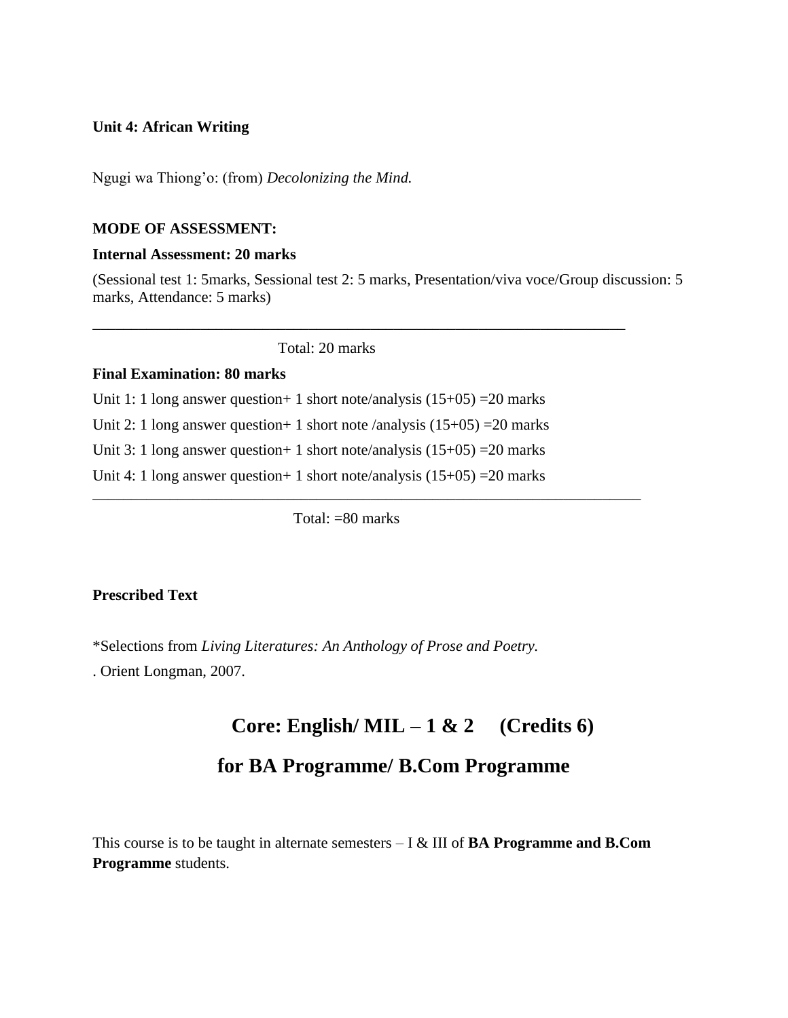## **Unit 4: African Writing**

Ngugi wa Thiong'o: (from) *Decolonizing the Mind.*

## **MODE OF ASSESSMENT:**

## **Internal Assessment: 20 marks**

(Sessional test 1: 5marks, Sessional test 2: 5 marks, Presentation/viva voce/Group discussion: 5 marks, Attendance: 5 marks)

\_\_\_\_\_\_\_\_\_\_\_\_\_\_\_\_\_\_\_\_\_\_\_\_\_\_\_\_\_\_\_\_\_\_\_\_\_\_\_\_\_\_\_\_\_\_\_\_\_\_\_\_\_\_\_\_\_\_\_\_\_\_\_\_\_\_\_\_\_

Total: 20 marks

#### **Final Examination: 80 marks**

Unit 1: 1 long answer question + 1 short note/analysis  $(15+05)$  = 20 marks

Unit 2: 1 long answer question + 1 short note /analysis  $(15+05)$  = 20 marks

Unit 3: 1 long answer question + 1 short note/analysis  $(15+05)$  = 20 marks

Unit 4: 1 long answer question + 1 short note/analysis  $(15+05)$  = 20 marks

Total:  $= 80$  marks

\_\_\_\_\_\_\_\_\_\_\_\_\_\_\_\_\_\_\_\_\_\_\_\_\_\_\_\_\_\_\_\_\_\_\_\_\_\_\_\_\_\_\_\_\_\_\_\_\_\_\_\_\_\_\_\_\_\_\_\_\_\_\_\_\_\_\_\_\_\_\_

## **Prescribed Text**

\*Selections from *Living Literatures: An Anthology of Prose and Poetry.*

. Orient Longman, 2007.

# **Core: English/ MIL – 1 & 2 (Credits 6)**

## **for BA Programme/ B.Com Programme**

This course is to be taught in alternate semesters – I & III of **BA Programme and B.Com Programme** students.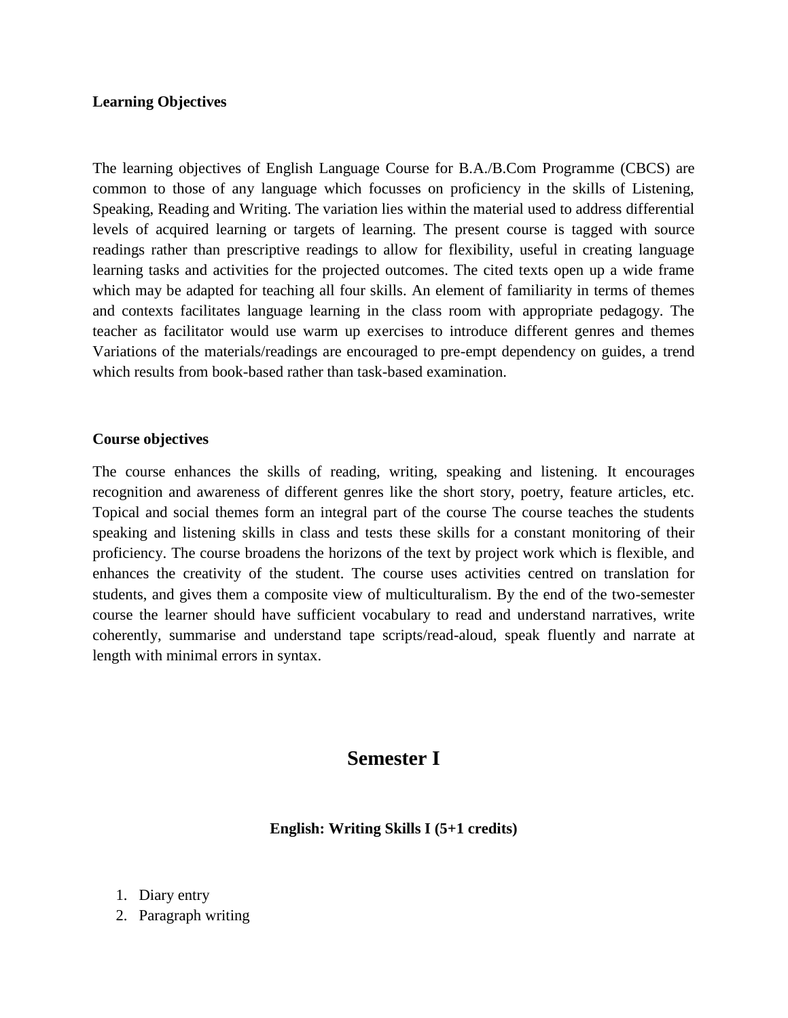## **Learning Objectives**

The learning objectives of English Language Course for B.A./B.Com Programme (CBCS) are common to those of any language which focusses on proficiency in the skills of Listening, Speaking, Reading and Writing. The variation lies within the material used to address differential levels of acquired learning or targets of learning. The present course is tagged with source readings rather than prescriptive readings to allow for flexibility, useful in creating language learning tasks and activities for the projected outcomes. The cited texts open up a wide frame which may be adapted for teaching all four skills. An element of familiarity in terms of themes and contexts facilitates language learning in the class room with appropriate pedagogy. The teacher as facilitator would use warm up exercises to introduce different genres and themes Variations of the materials/readings are encouraged to pre-empt dependency on guides, a trend which results from book-based rather than task-based examination.

## **Course objectives**

The course enhances the skills of reading, writing, speaking and listening. It encourages recognition and awareness of different genres like the short story, poetry, feature articles, etc. Topical and social themes form an integral part of the course The course teaches the students speaking and listening skills in class and tests these skills for a constant monitoring of their proficiency. The course broadens the horizons of the text by project work which is flexible, and enhances the creativity of the student. The course uses activities centred on translation for students, and gives them a composite view of multiculturalism. By the end of the two-semester course the learner should have sufficient vocabulary to read and understand narratives, write coherently, summarise and understand tape scripts/read-aloud, speak fluently and narrate at length with minimal errors in syntax.

## **Semester I**

**English: Writing Skills I (5+1 credits)**

- 1. Diary entry
- 2. Paragraph writing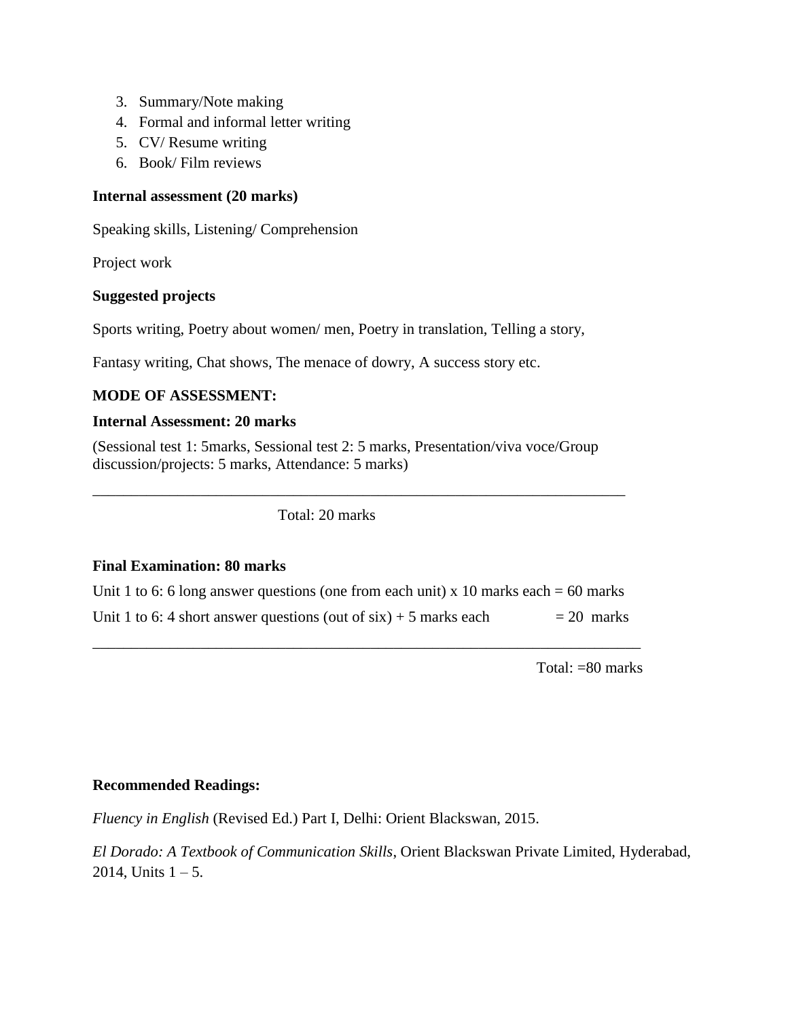- 3. Summary/Note making
- 4. Formal and informal letter writing
- 5. CV/ Resume writing
- 6. Book/ Film reviews

## **Internal assessment (20 marks)**

Speaking skills, Listening/ Comprehension

Project work

## **Suggested projects**

Sports writing, Poetry about women/ men, Poetry in translation, Telling a story,

Fantasy writing, Chat shows, The menace of dowry, A success story etc.

## **MODE OF ASSESSMENT:**

## **Internal Assessment: 20 marks**

(Sessional test 1: 5marks, Sessional test 2: 5 marks, Presentation/viva voce/Group discussion/projects: 5 marks, Attendance: 5 marks)

\_\_\_\_\_\_\_\_\_\_\_\_\_\_\_\_\_\_\_\_\_\_\_\_\_\_\_\_\_\_\_\_\_\_\_\_\_\_\_\_\_\_\_\_\_\_\_\_\_\_\_\_\_\_\_\_\_\_\_\_\_\_\_\_\_\_\_\_\_

Total: 20 marks

## **Final Examination: 80 marks**

| Unit 1 to 6: 6 long answer questions (one from each unit) x 10 marks each = 60 marks |              |
|--------------------------------------------------------------------------------------|--------------|
| Unit 1 to 6: 4 short answer questions (out of $six$ ) + 5 marks each                 | $= 20$ marks |

\_\_\_\_\_\_\_\_\_\_\_\_\_\_\_\_\_\_\_\_\_\_\_\_\_\_\_\_\_\_\_\_\_\_\_\_\_\_\_\_\_\_\_\_\_\_\_\_\_\_\_\_\_\_\_\_\_\_\_\_\_\_\_\_\_\_\_\_\_\_\_

Total: =80 marks

## **Recommended Readings:**

*Fluency in English* (Revised Ed.) Part I, Delhi: Orient Blackswan, 2015.

*El Dorado: A Textbook of Communication Skills*, Orient Blackswan Private Limited, Hyderabad, 2014, Units  $1 - 5$ .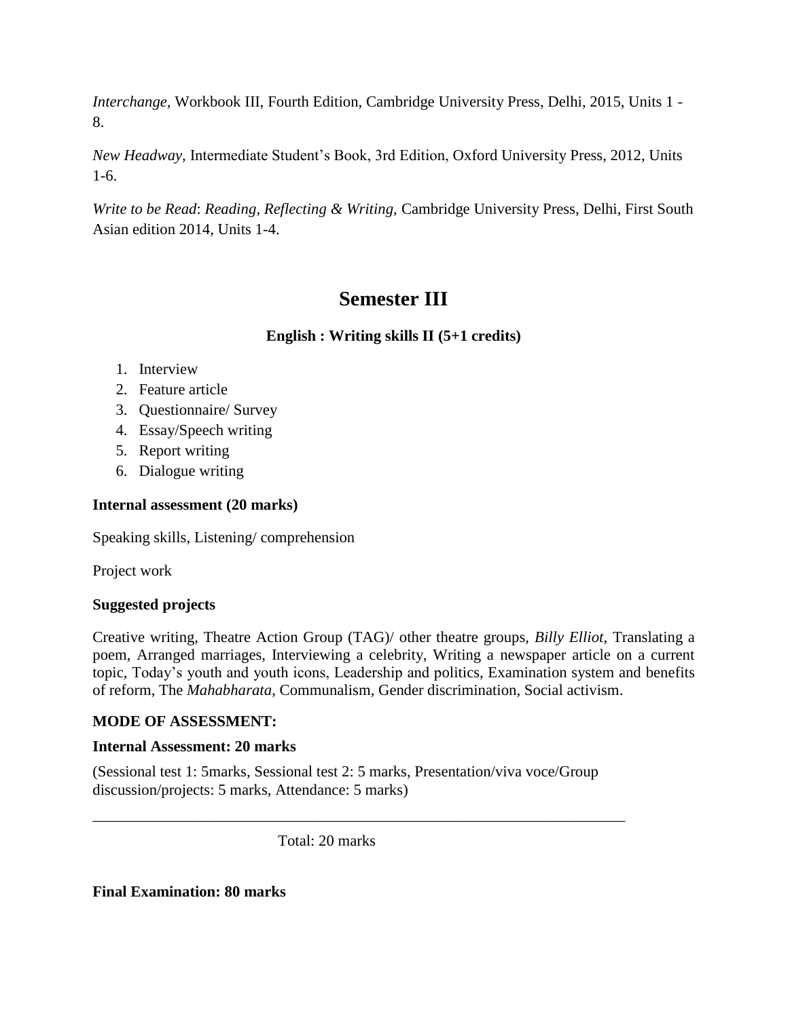*Interchange,* Workbook III, Fourth Edition, Cambridge University Press, Delhi, 2015, Units 1 - 8.

*New Headway,* Intermediate Student's Book, 3rd Edition, Oxford University Press, 2012, Units 1-6.

*Write to be Read*: *Reading, Reflecting & Writing,* Cambridge University Press, Delhi, First South Asian edition 2014, Units 1-4.

## **Semester III**

**English : Writing skills II (5+1 credits)**

- 1. Interview
- 2. Feature article
- 3. Questionnaire/ Survey
- 4. Essay/Speech writing
- 5. Report writing
- 6. Dialogue writing

## **Internal assessment (20 marks)**

Speaking skills, Listening/ comprehension

Project work

## **Suggested projects**

Creative writing, Theatre Action Group (TAG)/ other theatre groups, *Billy Elliot*, Translating a poem, Arranged marriages, Interviewing a celebrity, Writing a newspaper article on a current topic, Today's youth and youth icons, Leadership and politics, Examination system and benefits of reform, The *Mahabharata*, Communalism, Gender discrimination, Social activism.

## **MODE OF ASSESSMENT:**

## **Internal Assessment: 20 marks**

(Sessional test 1: 5marks, Sessional test 2: 5 marks, Presentation/viva voce/Group discussion/projects: 5 marks, Attendance: 5 marks)

\_\_\_\_\_\_\_\_\_\_\_\_\_\_\_\_\_\_\_\_\_\_\_\_\_\_\_\_\_\_\_\_\_\_\_\_\_\_\_\_\_\_\_\_\_\_\_\_\_\_\_\_\_\_\_\_\_\_\_\_\_\_\_\_\_\_\_\_\_

Total: 20 marks

## **Final Examination: 80 marks**